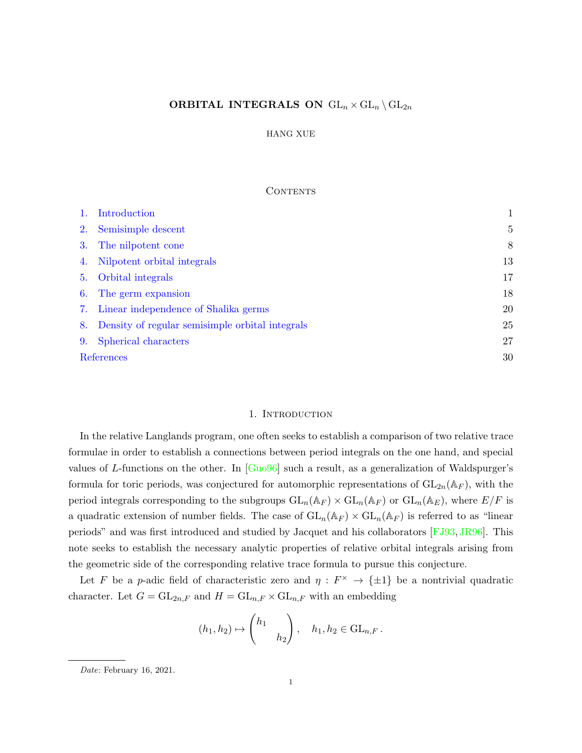# <span id="page-0-1"></span>ORBITAL INTEGRALS ON  $GL_n \times GL_n \backslash GL_{2n}$

### HANG XUE

### **CONTENTS**

|    | Introduction                                    |                |
|----|-------------------------------------------------|----------------|
| 2. | Semisimple descent                              | $\overline{5}$ |
| 3. | The nilpotent cone                              | 8              |
| 4. | Nilpotent orbital integrals                     | 13             |
| 5. | Orbital integrals                               | 17             |
| 6. | The germ expansion                              | 18             |
| 7. | Linear independence of Shalika germs            | 20             |
| 8. | Density of regular semisimple orbital integrals | 25             |
| 9. | Spherical characters                            | 27             |
|    | References                                      | 30             |

### 1. INTRODUCTION

<span id="page-0-0"></span>In the relative Langlands program, one often seeks to establish a comparison of two relative trace formulae in order to establish a connections between period integrals on the one hand, and special values of L-functions on the other. In  $\lceil \text{Gu} 0.96 \rceil$  such a result, as a generalization of Waldspurger's formula for toric periods, was conjectured for automorphic representations of  $GL_{2n}(\mathbb{A}_F)$ , with the period integrals corresponding to the subgroups  $GL_n(\mathbb{A}_F) \times GL_n(\mathbb{A}_F)$  or  $GL_n(\mathbb{A}_E)$ , where  $E/F$  is a quadratic extension of number fields. The case of  $GL_n(\mathbb{A}_F) \times GL_n(\mathbb{A}_F)$  is referred to as "linear" periods" and was first introduced and studied by Jacquet and his collaborators [\[FJ93,](#page-29-2)[JR96\]](#page-30-0). This note seeks to establish the necessary analytic properties of relative orbital integrals arising from the geometric side of the corresponding relative trace formula to pursue this conjecture.

Let F be a p-adic field of characteristic zero and  $\eta: F^{\times} \to {\pm 1}$  be a nontrivial quadratic character. Let  $G = GL_{2n,F}$  and  $H = GL_{n,F} \times GL_{n,F}$  with an embedding

$$
(h_1, h_2) \mapsto \begin{pmatrix} h_1 \\ & h_2 \end{pmatrix}, \quad h_1, h_2 \in \text{GL}_{n,F}.
$$

Date: February 16, 2021.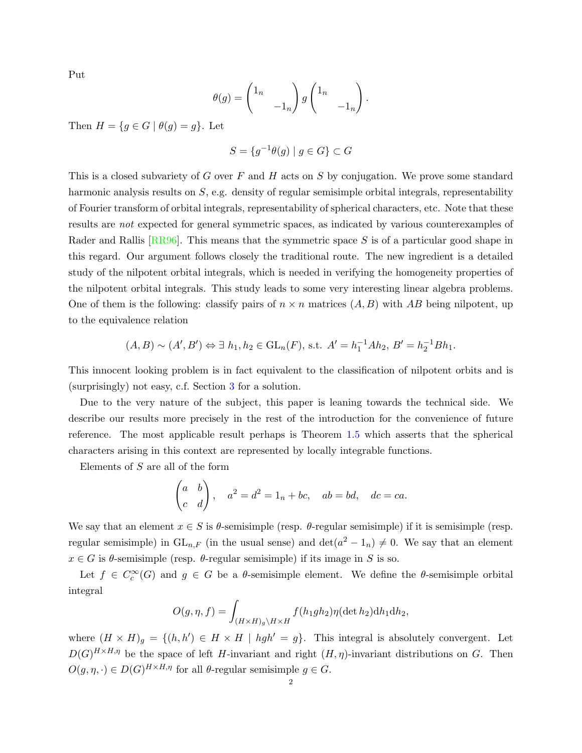<span id="page-1-0"></span>Put

$$
\theta(g) = \begin{pmatrix} 1_n & & \\ & -1_n \end{pmatrix} g \begin{pmatrix} 1_n & & \\ & -1_n \end{pmatrix}.
$$

Then  $H = \{g \in G \mid \theta(g) = g\}$ . Let

$$
S = \{ g^{-1}\theta(g) \mid g \in G \} \subset G
$$

This is a closed subvariety of G over F and H acts on S by conjugation. We prove some standard harmonic analysis results on S, e.g. density of regular semisimple orbital integrals, representability of Fourier transform of orbital integrals, representability of spherical characters, etc. Note that these results are not expected for general symmetric spaces, as indicated by various counterexamples of Rader and Rallis [\[RR96\]](#page-30-1). This means that the symmetric space S is of a particular good shape in this regard. Our argument follows closely the traditional route. The new ingredient is a detailed study of the nilpotent orbital integrals, which is needed in verifying the homogeneity properties of the nilpotent orbital integrals. This study leads to some very interesting linear algebra problems. One of them is the following: classify pairs of  $n \times n$  matrices  $(A, B)$  with AB being nilpotent, up to the equivalence relation

$$
(A, B) \sim (A', B') \Leftrightarrow \exists h_1, h_2 \in GL_n(F), \text{ s.t. } A' = h_1^{-1}Ah_2, B' = h_2^{-1}Bh_1.
$$

This innocent looking problem is in fact equivalent to the classification of nilpotent orbits and is (surprisingly) not easy, c.f. Section [3](#page-7-0) for a solution.

Due to the very nature of the subject, this paper is leaning towards the technical side. We describe our results more precisely in the rest of the introduction for the convenience of future reference. The most applicable result perhaps is Theorem [1.5](#page-3-0) which asserts that the spherical characters arising in this context are represented by locally integrable functions.

Elements of S are all of the form

$$
\begin{pmatrix} a & b \\ c & d \end{pmatrix}, \quad a^2 = d^2 = 1_n + bc, \quad ab = bd, \quad dc = ca.
$$

We say that an element  $x \in S$  is  $\theta$ -semisimple (resp.  $\theta$ -regular semisimple) if it is semisimple (resp. regular semisimple) in  $GL_{n,F}$  (in the usual sense) and  $\det(a^2 - 1_n) \neq 0$ . We say that an element  $x \in G$  is  $\theta$ -semisimple (resp.  $\theta$ -regular semisimple) if its image in S is so.

Let  $f \in C_c^{\infty}(G)$  and  $g \in G$  be a  $\theta$ -semisimple element. We define the  $\theta$ -semisimple orbital integral

$$
O(g, \eta, f) = \int_{(H \times H)g \backslash H \times H} f(h_1gh_2) \eta(\det h_2) dh_1 dh_2,
$$

where  $(H \times H)_{g} = \{(h, h') \in H \times H \mid hgh' = g\}$ . This integral is absolutely convergent. Let  $D(G)^{H \times H,\eta}$  be the space of left H-invariant and right  $(H,\eta)$ -invariant distributions on G. Then  $O(g, \eta, \cdot) \in D(G)^{H \times H, \eta}$  for all  $\theta$ -regular semisimple  $g \in G$ .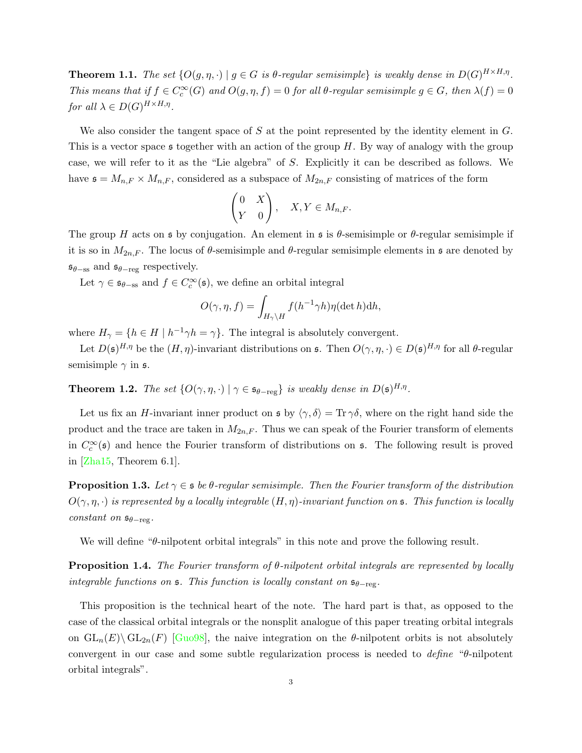<span id="page-2-4"></span><span id="page-2-2"></span>**Theorem 1.1.** The set  $\{O(g, \eta, \cdot) \mid g \in G \text{ is } \theta\text{-regular semisimple}\}$  is weakly dense in  $D(G)^{H \times H, \eta}$ . This means that if  $f \in C_c^{\infty}(G)$  and  $O(g, \eta, f) = 0$  for all  $\theta$ -regular semisimple  $g \in G$ , then  $\lambda(f) = 0$ for all  $\lambda \in D(G)^{H \times H, \eta}$ .

We also consider the tangent space of  $S$  at the point represented by the identity element in  $G$ . This is a vector space  $\mathfrak s$  together with an action of the group H. By way of analogy with the group case, we will refer to it as the "Lie algebra" of S. Explicitly it can be described as follows. We have  $\mathfrak{s} = M_{n,F} \times M_{n,F}$ , considered as a subspace of  $M_{2n,F}$  consisting of matrices of the form

$$
\begin{pmatrix} 0 & X \ Y & 0 \end{pmatrix}, \quad X, Y \in M_{n,F}.
$$

The group H acts on s by conjugation. An element in s is  $\theta$ -semisimple or  $\theta$ -regular semisimple if it is so in  $M_{2n,F}$ . The locus of  $\theta$ -semisimple and  $\theta$ -regular semisimple elements in  $\mathfrak s$  are denoted by  $\mathfrak{s}_{\theta-\text{ss}}$  and  $\mathfrak{s}_{\theta-\text{reg}}$  respectively.

Let  $\gamma \in \mathfrak{s}_{\theta-\text{ss}}$  and  $f \in C_c^{\infty}(\mathfrak{s})$ , we define an orbital integral

$$
O(\gamma, \eta, f) = \int_{H_{\gamma} \backslash H} f(h^{-1} \gamma h) \eta(\det h) dh,
$$

where  $H_{\gamma} = \{h \in H \mid h^{-1}\gamma h = \gamma\}$ . The integral is absolutely convergent.

Let  $D(\mathfrak{s})^{H,\eta}$  be the  $(H,\eta)$ -invariant distributions on  $\mathfrak{s}$ . Then  $O(\gamma,\eta,\cdot) \in D(\mathfrak{s})^{H,\eta}$  for all  $\theta$ -regular semisimple  $\gamma$  in  $\mathfrak{s}$ .

<span id="page-2-0"></span>**Theorem 1.2.** The set  $\{O(\gamma, \eta, \cdot) \mid \gamma \in \mathfrak{s}_{\theta-\text{reg}}\}$  is weakly dense in  $D(\mathfrak{s})^{H,\eta}$ .

Let us fix an H-invariant inner product on  $\mathfrak{s}$  by  $\langle \gamma, \delta \rangle = \text{Tr } \gamma \delta$ , where on the right hand side the product and the trace are taken in  $M_{2n,F}$ . Thus we can speak of the Fourier transform of elements in  $C_c^{\infty}(\mathfrak{s})$  and hence the Fourier transform of distributions on  $\mathfrak{s}$ . The following result is proved in [\[Zha15,](#page-30-2) Theorem 6.1].

<span id="page-2-3"></span>**Proposition 1.3.** Let  $\gamma \in \mathfrak{s}$  be  $\theta$ -regular semisimple. Then the Fourier transform of the distribution  $O(\gamma, \eta, \cdot)$  is represented by a locally integrable  $(H, \eta)$ -invariant function on  $\mathfrak{s}$ . This function is locally constant on  $\mathfrak{s}_{\theta-\mathrm{reg}}$ .

We will define "θ-nilpotent orbital integrals" in this note and prove the following result.

<span id="page-2-1"></span>**Proposition 1.4.** The Fourier transform of  $\theta$ -nilpotent orbital integrals are represented by locally integrable functions on  $\mathfrak s$ . This function is locally constant on  $\mathfrak s_{\theta-\mathrm{reg}}$ .

This proposition is the technical heart of the note. The hard part is that, as opposed to the case of the classical orbital integrals or the nonsplit analogue of this paper treating orbital integrals on  $GL_n(E) \backslash GL_{2n}(F)$  [\[Guo98\]](#page-30-3), the naive integration on the  $\theta$ -nilpotent orbits is not absolutely convergent in our case and some subtle regularization process is needed to define "θ-nilpotent orbital integrals".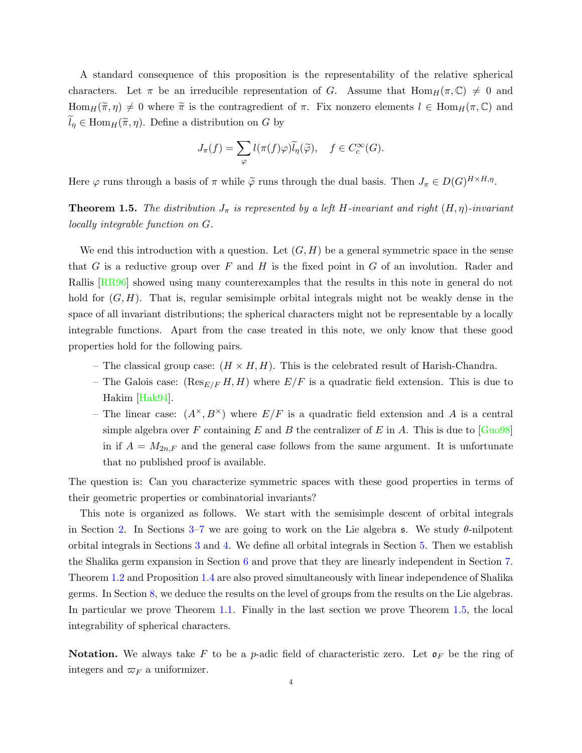<span id="page-3-1"></span>A standard consequence of this proposition is the representability of the relative spherical characters. Let  $\pi$  be an irreducible representation of G. Assume that  $\text{Hom}_H(\pi,\mathbb{C})\neq 0$  and  $\text{Hom}_H(\tilde{\pi}, \eta) \neq 0$  where  $\tilde{\pi}$  is the contragredient of  $\pi$ . Fix nonzero elements  $l \in \text{Hom}_H(\pi, \mathbb{C})$  and  $\widetilde{l}_{\eta} \in \text{Hom}_{H}(\widetilde{\pi}, \eta)$ . Define a distribution on G by

$$
J_{\pi}(f) = \sum_{\varphi} l(\pi(f)\varphi)\widetilde{l}_{\eta}(\widetilde{\varphi}), \quad f \in C_c^{\infty}(G).
$$

Here  $\varphi$  runs through a basis of  $\pi$  while  $\tilde{\varphi}$  runs through the dual basis. Then  $J_{\pi} \in D(G)^{H \times H,\eta}$ .

<span id="page-3-0"></span>**Theorem 1.5.** The distribution  $J_{\pi}$  is represented by a left H-invariant and right  $(H, \eta)$ -invariant locally integrable function on G.

We end this introduction with a question. Let  $(G, H)$  be a general symmetric space in the sense that  $G$  is a reductive group over  $F$  and  $H$  is the fixed point in  $G$  of an involution. Rader and Rallis [\[RR96\]](#page-30-1) showed using many counterexamples that the results in this note in general do not hold for  $(G, H)$ . That is, regular semisimple orbital integrals might not be weakly dense in the space of all invariant distributions; the spherical characters might not be representable by a locally integrable functions. Apart from the case treated in this note, we only know that these good properties hold for the following pairs.

- The classical group case:  $(H \times H, H)$ . This is the celebrated result of Harish-Chandra.
- The Galois case:  $(\text{Res}_{E/F} H, H)$  where  $E/F$  is a quadratic field extension. This is due to Hakim [\[Hak94\]](#page-30-4).
- The linear case:  $(A^{\times}, B^{\times})$  where  $E/F$  is a quadratic field extension and A is a central simple algebra over F containing E and B the centralizer of E in A. This is due to  $\lceil \text{Gu098} \rceil$ in if  $A = M_{2n,F}$  and the general case follows from the same argument. It is unfortunate that no published proof is available.

The question is: Can you characterize symmetric spaces with these good properties in terms of their geometric properties or combinatorial invariants?

This note is organized as follows. We start with the semisimple descent of orbital integrals in Section [2.](#page-4-0) In Sections [3–](#page-7-0)[7](#page-19-0) we are going to work on the Lie algebra s. We study  $\theta$ -nilpotent orbital integrals in Sections [3](#page-7-0) and [4.](#page-12-0) We define all orbital integrals in Section [5.](#page-16-0) Then we establish the Shalika germ expansion in Section [6](#page-17-0) and prove that they are linearly independent in Section [7.](#page-19-0) Theorem [1.2](#page-2-0) and Proposition [1.4](#page-2-1) are also proved simultaneously with linear independence of Shalika germs. In Section [8,](#page-24-0) we deduce the results on the level of groups from the results on the Lie algebras. In particular we prove Theorem [1.1.](#page-2-2) Finally in the last section we prove Theorem [1.5,](#page-3-0) the local integrability of spherical characters.

**Notation.** We always take F to be a p-adic field of characteristic zero. Let  $\mathfrak{o}_F$  be the ring of integers and  $\varpi_F$  a uniformizer.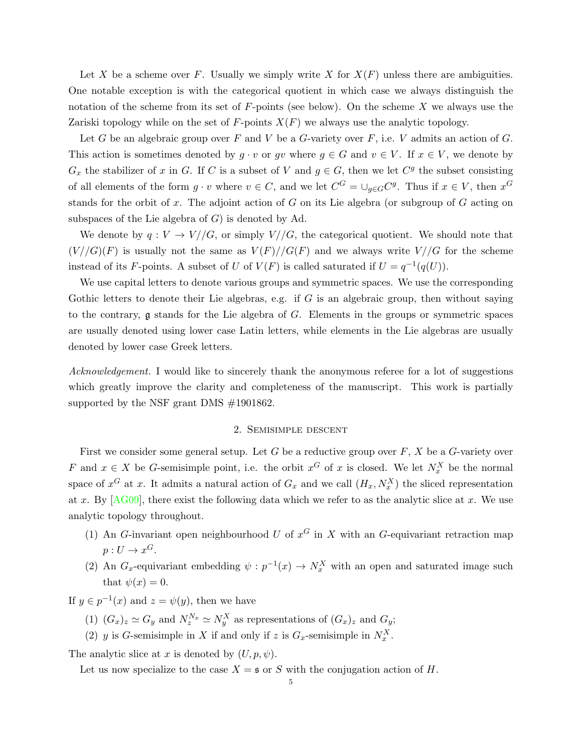<span id="page-4-1"></span>Let X be a scheme over F. Usually we simply write X for  $X(F)$  unless there are ambiguities. One notable exception is with the categorical quotient in which case we always distinguish the notation of the scheme from its set of  $F$ -points (see below). On the scheme X we always use the Zariski topology while on the set of F-points  $X(F)$  we always use the analytic topology.

Let G be an algebraic group over F and V be a G-variety over F, i.e. V admits an action of G. This action is sometimes denoted by  $g \cdot v$  or gv where  $g \in G$  and  $v \in V$ . If  $x \in V$ , we denote by  $G_x$  the stabilizer of x in G. If C is a subset of V and  $g \in G$ , then we let  $C^g$  the subset consisting of all elements of the form  $g \cdot v$  where  $v \in C$ , and we let  $C^G = \bigcup_{g \in G} C^g$ . Thus if  $x \in V$ , then  $x^G$ stands for the orbit of x. The adjoint action of G on its Lie algebra (or subgroup of  $G$  acting on subspaces of the Lie algebra of  $G$ ) is denoted by Ad.

We denote by  $q: V \to V/\sqrt{G}$ , or simply  $V/\sqrt{G}$ , the categorical quotient. We should note that  $(V//G)(F)$  is usually not the same as  $V(F)//G(F)$  and we always write  $V//G$  for the scheme instead of its F-points. A subset of U of  $V(F)$  is called saturated if  $U = q^{-1}(q(U))$ .

We use capital letters to denote various groups and symmetric spaces. We use the corresponding Gothic letters to denote their Lie algebras, e.g. if  $G$  is an algebraic group, then without saying to the contrary,  $g$  stands for the Lie algebra of  $G$ . Elements in the groups or symmetric spaces are usually denoted using lower case Latin letters, while elements in the Lie algebras are usually denoted by lower case Greek letters.

Acknowledgement. I would like to sincerely thank the anonymous referee for a lot of suggestions which greatly improve the clarity and completeness of the manuscript. This work is partially supported by the NSF grant DMS #1901862.

## 2. Semisimple descent

<span id="page-4-0"></span>First we consider some general setup. Let G be a reductive group over  $F, X$  be a G-variety over F and  $x \in X$  be G-semisimple point, i.e. the orbit  $x^G$  of x is closed. We let  $N_x^X$  be the normal space of  $x^G$  at x. It admits a natural action of  $G_x$  and we call  $(H_x, N_x^X)$  the sliced representation at x. By  $[AG09]$ , there exist the following data which we refer to as the analytic slice at x. We use analytic topology throughout.

- (1) An G-invariant open neighbourhood U of  $x^G$  in X with an G-equivariant retraction map  $p: U \to x^G$ .
- (2) An  $G_x$ -equivariant embedding  $\psi: p^{-1}(x) \to N_x^X$  with an open and saturated image such that  $\psi(x) = 0$ .

If  $y \in p^{-1}(x)$  and  $z = \psi(y)$ , then we have

(1)  $(G_x)_z \simeq G_y$  and  $N_z^{N_x} \simeq N_y^X$  as representations of  $(G_x)_z$  and  $G_y$ ;

(2) y is G-semisimple in X if and only if z is  $G_x$ -semisimple in  $N_x^X$ .

The analytic slice at x is denoted by  $(U, p, \psi)$ .

Let us now specialize to the case  $X = \mathfrak{s}$  or S with the conjugation action of H.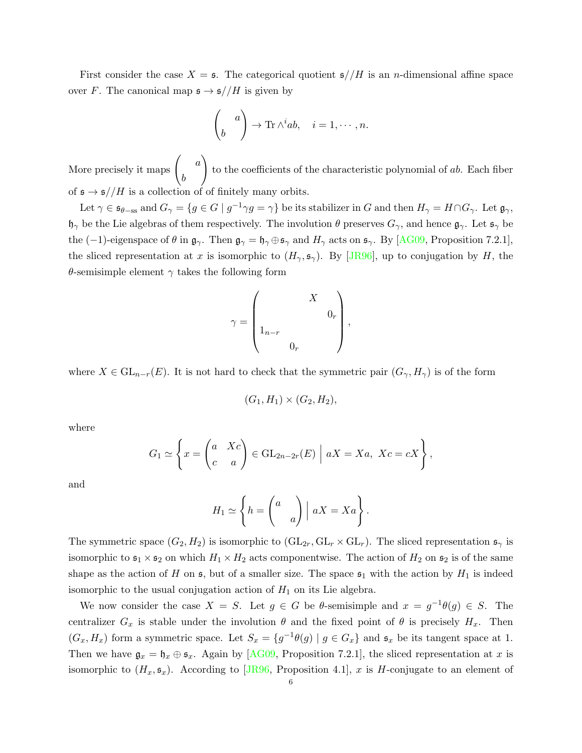<span id="page-5-0"></span>First consider the case  $X = \mathfrak{s}$ . The categorical quotient  $\mathfrak{s}/H$  is an *n*-dimensional affine space over F. The canonical map  $\mathfrak{s} \to \mathfrak{s}//H$  is given by

$$
\begin{pmatrix} a \\ b \end{pmatrix} \to \text{Tr}\wedge^i ab, \quad i = 1, \cdots, n.
$$

More precisely it maps  $\begin{pmatrix} a \end{pmatrix}$ b  $\setminus$ to the coefficients of the characteristic polynomial of ab. Each fiber of  $\mathfrak{s}\to\mathfrak{s}//H$  is a collection of of finitely many orbits.

Let  $\gamma \in \mathfrak{s}_{\theta-\text{ss}}$  and  $G_{\gamma} = \{g \in G \mid g^{-1}\gamma g = \gamma\}$  be its stabilizer in G and then  $H_{\gamma} = H \cap G_{\gamma}$ . Let  $\mathfrak{g}_{\gamma}$ ,  $\mathfrak{h}_{\gamma}$  be the Lie algebras of them respectively. The involution  $\theta$  preserves  $G_{\gamma}$ , and hence  $\mathfrak{g}_{\gamma}$ . Let  $\mathfrak{s}_{\gamma}$  be the (-1)-eigenspace of  $\theta$  in  $\mathfrak{g}_{\gamma}$ . Then  $\mathfrak{g}_{\gamma} = \mathfrak{h}_{\gamma} \oplus \mathfrak{s}_{\gamma}$  and  $H_{\gamma}$  acts on  $\mathfrak{s}_{\gamma}$ . By [\[AG09,](#page-29-3) Proposition 7.2.1], the sliced representation at x is isomorphic to  $(H_\gamma, \mathfrak{s}_\gamma)$ . By [\[JR96\]](#page-30-0), up to conjugation by H, the θ-semisimple element  $\gamma$  takes the following form

$$
\gamma = \begin{pmatrix} &&&\\ &&\ \\ 1_{n-r}&&\\ &&&0_r\\ &&&0_r& \end{pmatrix},
$$

where  $X \in GL_{n-r}(E)$ . It is not hard to check that the symmetric pair  $(G_\gamma, H_\gamma)$  is of the form

$$
(G_1, H_1) \times (G_2, H_2),
$$

where

$$
G_1 \simeq \left\{ x = \begin{pmatrix} a & Xc \\ c & a \end{pmatrix} \in GL_{2n-2r}(E) \mid aX = Xa, \ Xc = cX \right\},\
$$

and

$$
H_1 \simeq \left\{ h = \begin{pmatrix} a \\ & a \end{pmatrix} \middle| aX = Xa \right\}.
$$

The symmetric space  $(G_2, H_2)$  is isomorphic to  $(GL_{2r}, GL_r \times GL_r)$ . The sliced representation  $\mathfrak{s}_{\gamma}$  is isomorphic to  $\mathfrak{s}_1 \times \mathfrak{s}_2$  on which  $H_1 \times H_2$  acts componentwise. The action of  $H_2$  on  $\mathfrak{s}_2$  is of the same shape as the action of H on  $\mathfrak s$ , but of a smaller size. The space  $\mathfrak s_1$  with the action by  $H_1$  is indeed isomorphic to the usual conjugation action of  $H_1$  on its Lie algebra.

We now consider the case  $X = S$ . Let  $g \in G$  be  $\theta$ -semisimple and  $x = g^{-1}\theta(g) \in S$ . The centralizer  $G_x$  is stable under the involution  $\theta$  and the fixed point of  $\theta$  is precisely  $H_x$ . Then  $(G_x, H_x)$  form a symmetric space. Let  $S_x = \{g^{-1}\theta(g) \mid g \in G_x\}$  and  $\mathfrak{s}_x$  be its tangent space at 1. Then we have  $\mathfrak{g}_x = \mathfrak{h}_x \oplus \mathfrak{s}_x$ . Again by [\[AG09,](#page-29-3) Proposition 7.2.1], the sliced representation at x is isomorphic to  $(H_x, \mathfrak{s}_x)$ . According to [\[JR96,](#page-30-0) Proposition 4.1], x is H-conjugate to an element of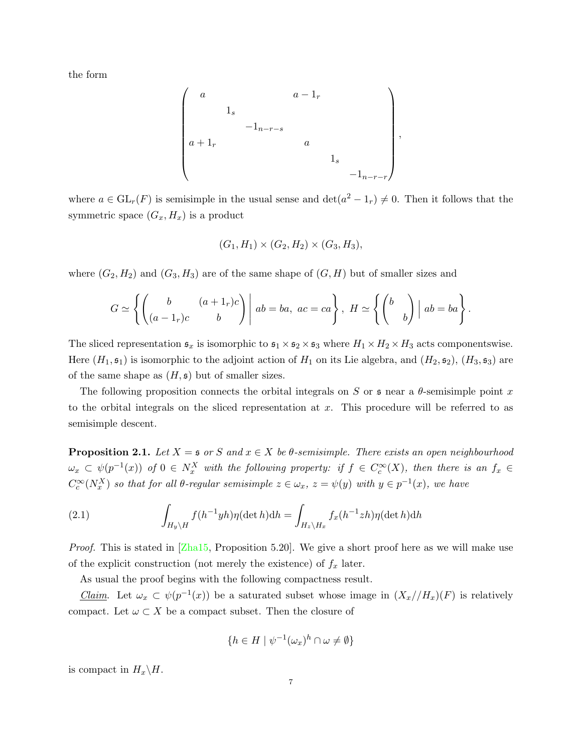<span id="page-6-1"></span>the form

$$
\begin{pmatrix} a & & & a-1_r \\ & 1_s & & & \\ & & -1_{n-r-s} & & \\ a+1_r & & & a & \\ & & & & 1_s & \\ & & & & & -1_{n-r-r} \end{pmatrix},
$$

where  $a \in GL_r(F)$  is semisimple in the usual sense and  $\det(a^2 - 1_r) \neq 0$ . Then it follows that the symmetric space  $(G_x, H_x)$  is a product

$$
(G_1, H_1) \times (G_2, H_2) \times (G_3, H_3),
$$

where  $(G_2, H_2)$  and  $(G_3, H_3)$  are of the same shape of  $(G, H)$  but of smaller sizes and

$$
G \simeq \left\{ \left( \begin{array}{cc} b & (a+1_r)c \\ (a-1_r)c & b \end{array} \right) \middle| ab = ba, ac = ca \right\}, H \simeq \left\{ \left( \begin{array}{cc} b & \\ & b \end{array} \right) \middle| ab = ba \right\}.
$$

The sliced representation  $\mathfrak{s}_x$  is isomorphic to  $\mathfrak{s}_1 \times \mathfrak{s}_2 \times \mathfrak{s}_3$  where  $H_1 \times H_2 \times H_3$  acts componentswise. Here  $(H_1, \mathfrak{s}_1)$  is isomorphic to the adjoint action of  $H_1$  on its Lie algebra, and  $(H_2, \mathfrak{s}_2)$ ,  $(H_3, \mathfrak{s}_3)$  are of the same shape as  $(H, \mathfrak{s})$  but of smaller sizes.

The following proposition connects the orbital integrals on S or  $\mathfrak s$  near a  $\theta$ -semisimple point x to the orbital integrals on the sliced representation at  $x$ . This procedure will be referred to as semisimple descent.

<span id="page-6-0"></span>**Proposition 2.1.** Let  $X = \mathfrak{s}$  or S and  $x \in X$  be  $\theta$ -semisimple. There exists an open neighbourhood  $\omega_x \subset \psi(p^{-1}(x))$  of  $0 \in N_x^X$  with the following property: if  $f \in C_c^{\infty}(X)$ , then there is an  $f_x \in C_c^{\infty}(X)$  $C_c^{\infty}(N_x^X)$  so that for all  $\theta$ -regular semisimple  $z \in \omega_x$ ,  $z = \psi(y)$  with  $y \in p^{-1}(x)$ , we have

(2.1) 
$$
\int_{H_y \backslash H} f(h^{-1}yh)\eta(\det h)dh = \int_{H_z \backslash H_x} f_x(h^{-1}zh)\eta(\det h)dh
$$

*Proof.* This is stated in  $\boxed{\text{Zha15}}$ , Proposition 5.20. We give a short proof here as we will make use of the explicit construction (not merely the existence) of  $f_x$  later.

As usual the proof begins with the following compactness result.

Claim. Let  $\omega_x \subset \psi(p^{-1}(x))$  be a saturated subset whose image in  $(X_x//H_x)(F)$  is relatively compact. Let  $\omega \subset X$  be a compact subset. Then the closure of

$$
\{h \in H \mid \psi^{-1}(\omega_x)^h \cap \omega \neq \emptyset\}
$$

is compact in  $H_x \backslash H$ .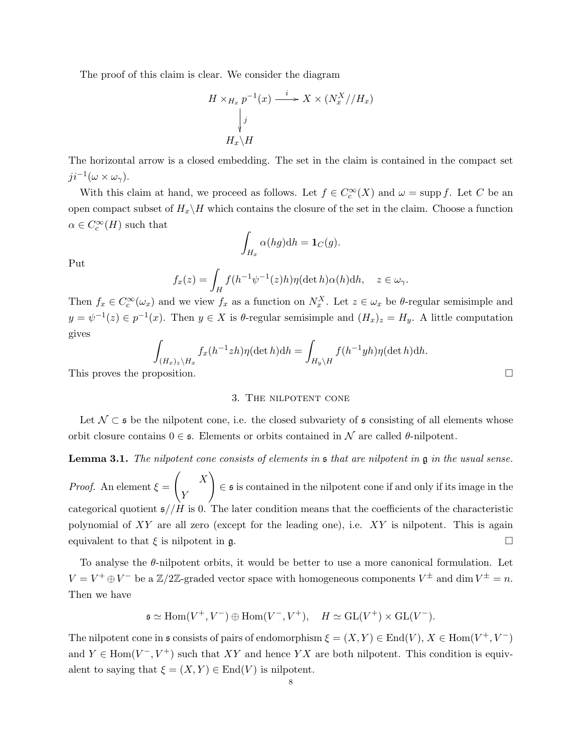The proof of this claim is clear. We consider the diagram

$$
H \times_{H_x} p^{-1}(x) \xrightarrow{i} X \times (N_x^X // H_x)
$$
  
\n
$$
\downarrow j
$$
  
\n
$$
H_x \backslash H
$$

The horizontal arrow is a closed embedding. The set in the claim is contained in the compact set  $ji^{-1}(\omega \times \omega_{\gamma}).$ 

With this claim at hand, we proceed as follows. Let  $f \in C_c^{\infty}(X)$  and  $\omega = \text{supp } f$ . Let C be an open compact subset of  $H_x\backslash H$  which contains the closure of the set in the claim. Choose a function  $\alpha \in C_c^{\infty}(H)$  such that

$$
\int_{H_x} \alpha(hg) dh = \mathbf{1}_C(g).
$$

Put

$$
f_x(z) = \int_H f(h^{-1}\psi^{-1}(z)h)\eta(\det h)\alpha(h)\mathrm{d}h, \quad z \in \omega_\gamma.
$$

Then  $f_x \in C_c^{\infty}(\omega_x)$  and we view  $f_x$  as a function on  $N_x^X$ . Let  $z \in \omega_x$  be  $\theta$ -regular semisimple and  $y = \psi^{-1}(z) \in p^{-1}(x)$ . Then  $y \in X$  is  $\theta$ -regular semisimple and  $(H_x)_z = H_y$ . A little computation gives

$$
\int_{(H_x)_z \backslash H_x} f_x(h^{-1}zh)\eta(\det h)dh = \int_{H_y \backslash H} f(h^{-1}yh)\eta(\det h)dh.
$$
\nThis proves the proposition.

<span id="page-7-0"></span>

### 3. The nilpotent cone

Let  $\mathcal{N} \subset \mathfrak{s}$  be the nilpotent cone, i.e. the closed subvariety of  $\mathfrak{s}$  consisting of all elements whose orbit closure contains  $0 \in \mathfrak{s}$ . Elements or orbits contained in N are called  $\theta$ -nilpotent.

## **Lemma 3.1.** The nilpotent cone consists of elements in  $\mathfrak s$  that are nilpotent in  $\mathfrak g$  in the usual sense.

*Proof.* An element  $\xi =$  $\begin{pmatrix} X \end{pmatrix}$ Y  $\setminus$ ∈ s is contained in the nilpotent cone if and only if its image in the categorical quotient  $\mathfrak{s}/H$  is 0. The later condition means that the coefficients of the characteristic polynomial of  $XY$  are all zero (except for the leading one), i.e.  $XY$  is nilpotent. This is again equivalent to that  $\xi$  is nilpotent in g.

To analyse the  $\theta$ -nilpotent orbits, it would be better to use a more canonical formulation. Let  $V = V^+ \oplus V^-$  be a  $\mathbb{Z}/2\mathbb{Z}$ -graded vector space with homogeneous components  $V^{\pm}$  and dim  $V^{\pm} = n$ . Then we have

$$
\mathfrak{s} \simeq \text{Hom}(V^+, V^-) \oplus \text{Hom}(V^-, V^+), \quad H \simeq \text{GL}(V^+) \times \text{GL}(V^-).
$$

The nilpotent cone in  $\mathfrak s$  consists of pairs of endomorphism  $\xi = (X, Y) \in \text{End}(V)$ ,  $X \in \text{Hom}(V^+, V^-)$ and  $Y \in \text{Hom}(V^-, V^+)$  such that XY and hence YX are both nilpotent. This condition is equivalent to saying that  $\xi = (X, Y) \in End(V)$  is nilpotent.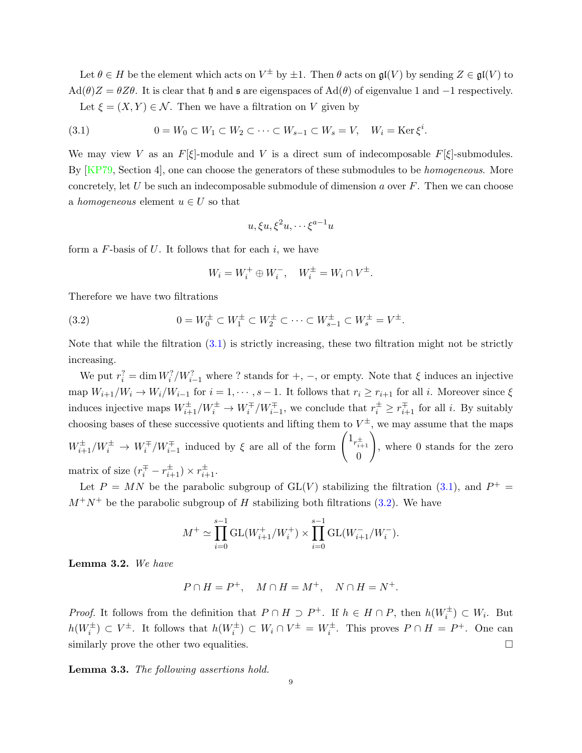<span id="page-8-3"></span>Let  $\theta \in H$  be the element which acts on  $V^{\pm}$  by  $\pm 1$ . Then  $\theta$  acts on  $\mathfrak{gl}(V)$  by sending  $Z \in \mathfrak{gl}(V)$  to  $\text{Ad}(\theta)Z = \theta Z\theta$ . It is clear that h and s are eigenspaces of  $\text{Ad}(\theta)$  of eigenvalue 1 and -1 respectively. Let  $\xi = (X, Y) \in \mathcal{N}$ . Then we have a filtration on V given by

<span id="page-8-0"></span>(3.1) 
$$
0 = W_0 \subset W_1 \subset W_2 \subset \cdots \subset W_{s-1} \subset W_s = V, \quad W_i = \text{Ker}\,\xi^i.
$$

We may view V as an  $F[\xi]$ -module and V is a direct sum of indecomposable  $F[\xi]$ -submodules. By [\[KP79,](#page-30-5) Section 4], one can choose the generators of these submodules to be *homogeneous*. More concretely, let U be such an indecomposable submodule of dimension a over  $F$ . Then we can choose a homogeneous element  $u \in U$  so that

$$
u, \xi u, \xi^2 u, \dots \xi^{a-1} u
$$

form a  $F$ -basis of  $U$ . It follows that for each  $i$ , we have

<span id="page-8-1"></span>
$$
W_i = W_i^+ \oplus W_i^-, \quad W_i^{\pm} = W_i \cap V^{\pm}.
$$

Therefore we have two filtrations

(3.2) 
$$
0 = W_0^{\pm} \subset W_1^{\pm} \subset W_2^{\pm} \subset \cdots \subset W_{s-1}^{\pm} \subset W_s^{\pm} = V^{\pm}.
$$

Note that while the filtration  $(3.1)$  is strictly increasing, these two filtration might not be strictly increasing.

We put  $r_i^2 = \dim W_i^2/W_{i-1}^2$  where ? stands for  $+, -$ , or empty. Note that  $\xi$  induces an injective map  $W_{i+1}/W_i \to W_i/W_{i-1}$  for  $i = 1, \dots, s-1$ . It follows that  $r_i \geq r_{i+1}$  for all i. Moreover since  $\xi$ induces injective maps  $W_{i+1}^{\pm}/W_i^{\pm} \to W_i^{\mp}/W_{i-1}^{\mp}$ , we conclude that  $r_i^{\pm} \geq r_{i+1}^{\mp}$  for all *i*. By suitably choosing bases of these successive quotients and lifting them to  $V^{\pm}$ , we may assume that the maps  $W_{i+1}^{\pm}/W_i^{\pm} \rightarrow W_i^{\mp}/W_{i-1}^{\mp}$  induced by  $\xi$  are all of the form  $\begin{pmatrix} 1_{r_{i+1}^{\pm}} \\ 0 \end{pmatrix}$ 0  $\setminus$ , where 0 stands for the zero matrix of size  $(r_i^{\pm} - r_{i+1}^{\pm}) \times r_{i+1}^{\pm}$ .

Let  $P = MN$  be the parabolic subgroup of GL(V) stabilizing the filtration [\(3.1\)](#page-8-0), and  $P^+ =$  $M^+N^+$  be the parabolic subgroup of H stabilizing both filtrations [\(3.2\)](#page-8-1). We have

$$
M^{+} \simeq \prod_{i=0}^{s-1} \mathrm{GL}(W_{i+1}^{+}/W_i^{+}) \times \prod_{i=0}^{s-1} \mathrm{GL}(W_{i+1}^{-}/W_i^{-}).
$$

<span id="page-8-2"></span>Lemma 3.2. We have

$$
P \cap H = P^+, \quad M \cap H = M^+, \quad N \cap H = N^+.
$$

*Proof.* It follows from the definition that  $P \cap H \supset P^+$ . If  $h \in H \cap P$ , then  $h(W_i^{\pm}) \subset W_i$ . But  $h(W_i^{\pm}) \subset V^{\pm}$ . It follows that  $h(W_i^{\pm}) \subset W_i \cap V^{\pm} = W_i^{\pm}$ . This proves  $P \cap H = P^{\pm}$ . One can similarly prove the other two equalities.  $\Box$ 

Lemma 3.3. The following assertions hold.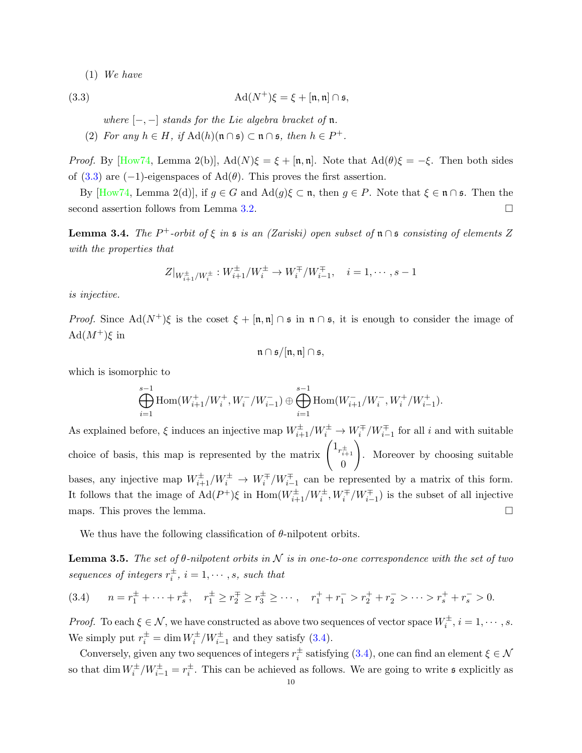<span id="page-9-3"></span>(1) We have

(3.3) 
$$
\operatorname{Ad}(N^+) \xi = \xi + [\mathfrak{n}, \mathfrak{n}] \cap \mathfrak{s},
$$

<span id="page-9-0"></span>where  $[-,-]$  stands for the Lie algebra bracket of  $\mathfrak n$ .

(2) For any  $h \in H$ , if  $\text{Ad}(h)(\mathfrak{n} \cap \mathfrak{s}) \subset \mathfrak{n} \cap \mathfrak{s}$ , then  $h \in P^+$ .

*Proof.* By [\[How74,](#page-30-6) Lemma 2(b)],  $Ad(N)\xi = \xi + [\mathfrak{n}, \mathfrak{n}]$ . Note that  $Ad(\theta)\xi = -\xi$ . Then both sides of [\(3.3\)](#page-9-0) are (−1)-eigenspaces of  $\text{Ad}(\theta)$ . This proves the first assertion.

By  $[How74, Lemma 2(d)],$  if  $g \in G$  and  $Ad(g)\xi \subset \mathfrak{n}$ , then  $g \in P$ . Note that  $\xi \in \mathfrak{n} \cap \mathfrak{s}$ . Then the second assertion follows from Lemma [3.2.](#page-8-2)

<span id="page-9-2"></span>**Lemma 3.4.** The P<sup>+</sup>-orbit of  $\xi$  in  $\mathfrak{s}$  is an (Zariski) open subset of  $\mathfrak{n} \cap \mathfrak{s}$  consisting of elements Z with the properties that

$$
Z|_{W_{i+1}^{\pm}/W_i^{\pm}} : W_{i+1}^{\pm}/W_i^{\pm} \to W_i^{\mp}/W_{i-1}^{\mp}, \quad i = 1, \cdots, s-1
$$

is injective.

*Proof.* Since  $\text{Ad}(N^+)$ ξ is the coset  $\xi + [\mathfrak{n}, \mathfrak{n}] \cap \mathfrak{s}$  in  $\mathfrak{n} \cap \mathfrak{s}$ , it is enough to consider the image of  $\text{Ad}(M^+)$ ξ in

$$
\mathfrak{n}\cap \mathfrak{s}/[\mathfrak{n},\mathfrak{n}]\cap \mathfrak{s},
$$

which is isomorphic to

$$
\bigoplus_{i=1}^{s-1} \text{Hom}(W^+_{i+1}/W^+_i,W^-_i/W^-_{i-1}) \oplus \bigoplus_{i=1}^{s-1} \text{Hom}(W^-_{i+1}/W^-_i,W^+_i/W^+_{i-1}).
$$

As explained before,  $\xi$  induces an injective map  $W_{i+1}^{\pm}/W_i^{\pm} \to W_i^{\mp}/W_{i-1}^{\mp}$  for all i and with suitable choice of basis, this map is represented by the matrix  $\left(1_{r_{i+1}^{\pm}}\right)$ 0  $\setminus$ . Moreover by choosing suitable bases, any injective map  $W_{i+1}^{\pm}/W_i^{\pm} \to W_i^{\mp}/W_{i-1}^{\mp}$  can be represented by a matrix of this form. It follows that the image of  $\text{Ad}(P^+)$ ξ in  $\text{Hom}(W^{\pm}_{i+1}/W^{\pm}_{i}, W^{\mp}_{i}/W^{\mp}_{i-1})$  is the subset of all injective maps. This proves the lemma.  $\Box$ 

We thus have the following classification of  $\theta$ -nilpotent orbits.

**Lemma 3.5.** The set of  $\theta$ -nilpotent orbits in N is in one-to-one correspondence with the set of two sequences of integers  $r_i^{\pm}$ ,  $i = 1, \cdots, s$ , such that

<span id="page-9-1"></span>
$$
(3.4) \qquad n = r_1^{\pm} + \dots + r_s^{\pm}, \quad r_1^{\pm} \ge r_2^{\mp} \ge r_3^{\pm} \ge \dots, \quad r_1^{\pm} + r_1^{-} > r_2^{\pm} + r_2^{-} > \dots > r_s^{\pm} + r_s^{-} > 0.
$$

*Proof.* To each  $\xi \in \mathcal{N}$ , we have constructed as above two sequences of vector space  $W_i^{\pm}$ ,  $i = 1, \dots, s$ . We simply put  $r_i^{\pm} = \dim W_i^{\pm}/W_{i-1}^{\pm}$  and they satisfy [\(3.4\)](#page-9-1).

Conversely, given any two sequences of integers  $r_i^{\pm}$  satisfying [\(3.4\)](#page-9-1), one can find an element  $\xi \in \mathcal{N}$ so that  $\dim W_i^{\pm}/W_{i-1}^{\pm} = r_i^{\pm}$ . This can be achieved as follows. We are going to write  $\mathfrak s$  explicitly as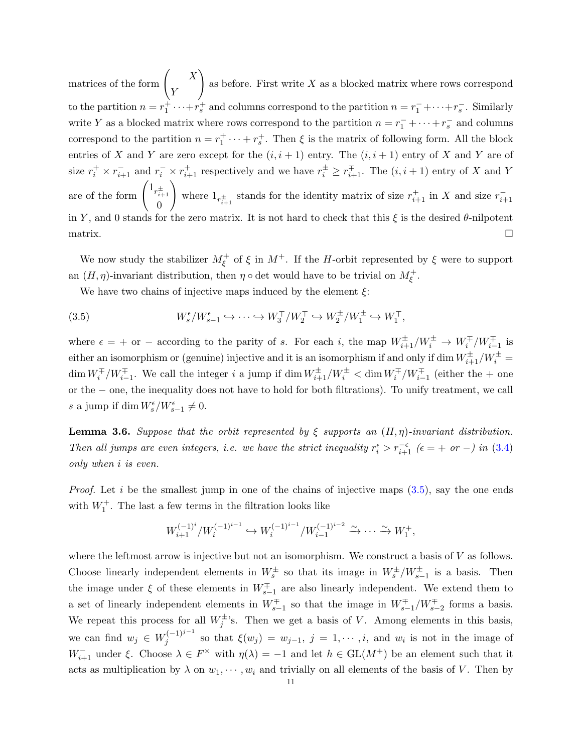matrices of the form  $\begin{pmatrix} X \\ Y \end{pmatrix}$ Y  $\setminus$ as before. First write  $X$  as a blocked matrix where rows correspond to the partition  $n = r_1^+ \cdots + r_s^+$  and columns correspond to the partition  $n = r_1^- + \cdots + r_s^-$ . Similarly write Y as a blocked matrix where rows correspond to the partition  $n = r_1^- + \cdots + r_s^-$  and columns correspond to the partition  $n = r_1^+ \cdots + r_s^+$ . Then  $\xi$  is the matrix of following form. All the block entries of X and Y are zero except for the  $(i, i + 1)$  entry. The  $(i, i + 1)$  entry of X and Y are of size  $r_i^+ \times r_{i+1}^-$  and  $r_i^- \times r_{i+1}^+$  respectively and we have  $r_i^{\pm} \geq r_{i+1}^{\mp}$ . The  $(i, i + 1)$  entry of X and Y are of the form  $\left(1_{r_{i+1}^{\pm}}\right)$ 0  $\setminus$ where  $1_{r_{i+1}^{\pm}}$  stands for the identity matrix of size  $r_{i+1}^{+}$  in X and size  $r_{i+1}^{-}$ in Y, and 0 stands for the zero matrix. It is not hard to check that this  $\xi$  is the desired  $\theta$ -nilpotent  $\Box$ 

We now study the stabilizer  $M_{\xi}^+$  of  $\xi$  in  $M^+$ . If the H-orbit represented by  $\xi$  were to support an  $(H, \eta)$ -invariant distribution, then  $\eta \circ \det$  would have to be trivial on  $M_{\xi}^+$ .

<span id="page-10-0"></span>We have two chains of injective maps induced by the element  $\xi$ :

(3.5) 
$$
W_s^{\epsilon}/W_{s-1}^{\epsilon} \hookrightarrow \cdots \hookrightarrow W_3^{\mp}/W_2^{\mp} \hookrightarrow W_2^{\pm}/W_1^{\pm} \hookrightarrow W_1^{\mp},
$$

where  $\epsilon = +$  or – according to the parity of s. For each i, the map  $W_{i+1}^{\pm}/W_i^{\pm} \to W_i^{\mp}/W_{i-1}^{\mp}$  is either an isomorphism or (genuine) injective and it is an isomorphism if and only if dim  $W^{\pm}_{i+1}/W^{\pm}_{i}$  $\dim W_i^{\pm}/W_{i-1}^{\pm}$ . We call the integer i a jump if  $\dim W_{i+1}^{\pm}/W_i^{\pm} < \dim W_i^{\mp}/W_{i-1}^{\mp}$  (either the + one or the − one, the inequality does not have to hold for both filtrations). To unify treatment, we call s a jump if  $\dim W_s^{\epsilon}/W_{s-1}^{\epsilon} \neq 0$ .

<span id="page-10-1"></span>**Lemma 3.6.** Suppose that the orbit represented by  $\xi$  supports an  $(H, \eta)$ -invariant distribution. Then all jumps are even integers, i.e. we have the strict inequality  $r_i^{\epsilon} > r_{i+1}^{-\epsilon}$  ( $\epsilon = +\sigma r - i$ ) in [\(3.4\)](#page-9-1) only when i is even.

*Proof.* Let i be the smallest jump in one of the chains of injective maps  $(3.5)$ , say the one ends with  $W_1^+$ . The last a few terms in the filtration looks like

$$
W_{i+1}^{(-1)^i} / W_i^{(-1)^{i-1}} \hookrightarrow W_i^{(-1)^{i-1}} / W_{i-1}^{(-1)^{i-2}} \xrightarrow{\sim} \cdots \xrightarrow{\sim} W_1^+,
$$

where the leftmost arrow is injective but not an isomorphism. We construct a basis of  $V$  as follows. Choose linearly independent elements in  $W_s^{\pm}$  so that its image in  $W_s^{\pm}/W_{s-1}^{\pm}$  is a basis. Then the image under  $\xi$  of these elements in  $W_{s-1}^{\pm}$  are also linearly independent. We extend them to a set of linearly independent elements in  $W_{s-1}^{\pm}$  so that the image in  $W_{s-1}^{\pm}/W_{s-2}^{\pm}$  forms a basis. We repeat this process for all  $W_j^{\pm}$ 's. Then we get a basis of V. Among elements in this basis, we can find  $w_j \in W_j^{(-1)^{j-1}}$ so that  $\xi(w_j) = w_{j-1}, j = 1, \cdots, i$ , and  $w_i$  is not in the image of  $W_{i+1}^-$  under  $\xi$ . Choose  $\lambda \in F^\times$  with  $\eta(\lambda) = -1$  and let  $h \in GL(M^+)$  be an element such that it acts as multiplication by  $\lambda$  on  $w_1, \dots, w_i$  and trivially on all elements of the basis of V. Then by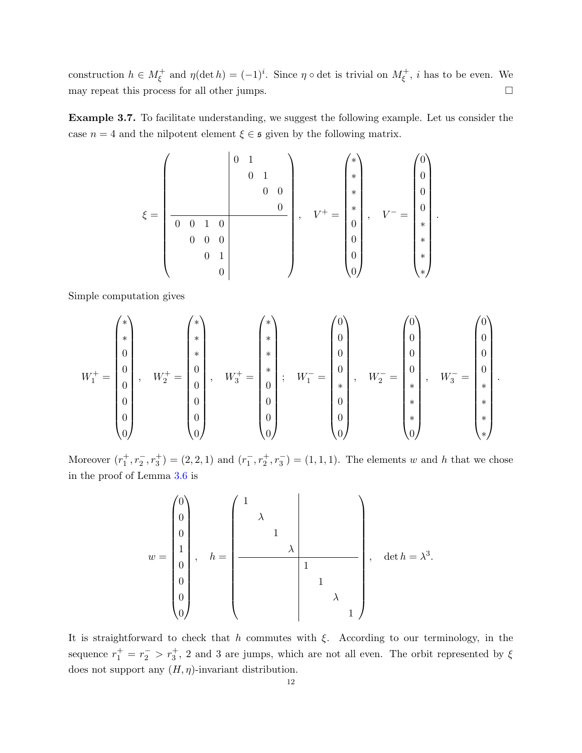construction  $h \in M_{\xi}^+$  and  $\eta(\det h) = (-1)^i$ . Since  $\eta \circ \det$  is trivial on  $M_{\xi}^+$ , *i* has to be even. We may repeat this process for all other jumps.  $\Box$ 

Example 3.7. To facilitate understanding, we suggest the following example. Let us consider the case  $n = 4$  and the nilpotent element  $\xi \in \mathfrak{s}$  given by the following matrix.

$$
\xi = \left(\begin{array}{cc|cc} & & 0 & 1 & & & \\ & & 0 & 1 & & & \\ & & & 0 & 0 & & \\ & & & & 0 & & \\ \hline 0 & 0 & 1 & 0 & & \\ & & & 0 & 1 & \\ & & & & 0 & \\ & & & & & 0 \end{array}\right), \quad V^+ = \left(\begin{array}{c} * \\ * \\ * \\ * \\ 0 \\ 0 \\ 0 \\ 0 \\ \end{array}\right), \quad V^- = \left(\begin{array}{c} 0 \\ 0 \\ 0 \\ * \\ * \\ * \\ * \\ * \end{array}\right).
$$

Simple computation gives

$$
W_1^+ = \begin{pmatrix} * \\ * \\ 0 \\ 0 \\ 0 \\ 0 \\ 0 \\ 0 \end{pmatrix}, \quad W_2^+ = \begin{pmatrix} * \\ * \\ 0 \\ 0 \\ 0 \\ 0 \\ 0 \\ 0 \end{pmatrix}, \quad W_3^+ = \begin{pmatrix} * \\ * \\ * \\ * \\ 0 \\ 0 \\ 0 \\ 0 \\ 0 \end{pmatrix}; \quad W_1^- = \begin{pmatrix} 0 \\ 0 \\ 0 \\ 0 \\ * \\ 0 \\ 0 \\ 0 \\ 0 \end{pmatrix}, \quad W_2^- = \begin{pmatrix} 0 \\ 0 \\ 0 \\ * \\ * \\ * \\ 0 \\ 0 \\ 0 \end{pmatrix}, \quad W_3^- = \begin{pmatrix} 0 \\ 0 \\ 0 \\ 0 \\ * \\ * \\ * \\ * \end{pmatrix}
$$

.

Moreover  $(r_1^+, r_2^-, r_3^+) = (2, 2, 1)$  and  $(r_1^-, r_2^+, r_3^-) = (1, 1, 1)$ . The elements w and h that we chose in the proof of Lemma [3.6](#page-10-1) is

$$
w = \begin{pmatrix} 0 \\ 0 \\ 0 \\ 1 \\ 0 \\ 0 \\ 0 \\ 0 \end{pmatrix}, \quad h = \begin{pmatrix} 1 & & & & \\ & \lambda & & & & \\ & & 1 & & & \\ & & & \lambda & & \\ & & & & 1 & \\ & & & & 1 & \\ & & & & & \lambda \\ & & & & & & 1 \end{pmatrix}, \quad \det h = \lambda^3.
$$

It is straightforward to check that h commutes with  $\xi$ . According to our terminology, in the sequence  $r_1^+ = r_2^- > r_3^+$ , 2 and 3 are jumps, which are not all even. The orbit represented by  $\xi$ does not support any  $(H, \eta)$ -invariant distribution.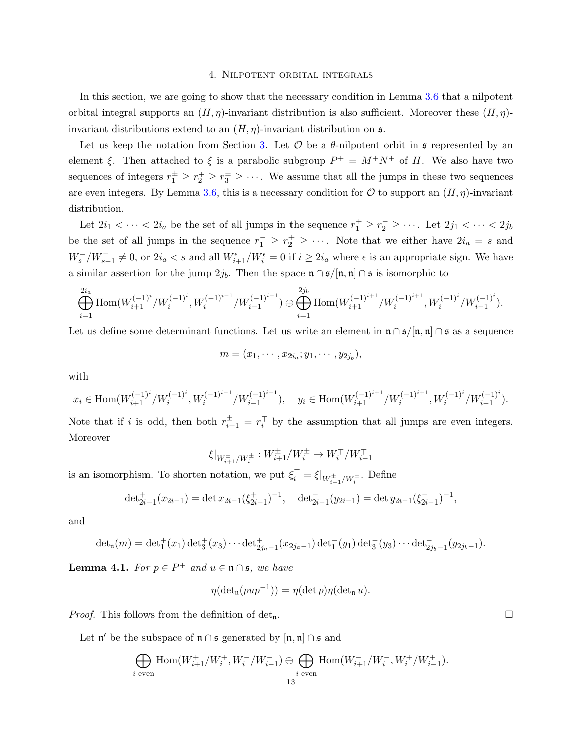#### 4. Nilpotent orbital integrals

<span id="page-12-0"></span>In this section, we are going to show that the necessary condition in Lemma [3.6](#page-10-1) that a nilpotent orbital integral supports an  $(H, \eta)$ -invariant distribution is also sufficient. Moreover these  $(H, \eta)$ invariant distributions extend to an  $(H, \eta)$ -invariant distribution on  $\mathfrak{s}$ .

Let us keep the notation from Section [3.](#page-7-0) Let  $\mathcal O$  be a  $\theta$ -nilpotent orbit in  $\mathfrak s$  represented by an element ξ. Then attached to ξ is a parabolic subgroup  $P^+ = M^+N^+$  of H. We also have two sequences of integers  $r_1^{\pm} \geq r_2^{\mp} \geq r_3^{\pm} \geq \cdots$ . We assume that all the jumps in these two sequences are even integers. By Lemma [3.6,](#page-10-1) this is a necessary condition for  $\mathcal O$  to support an  $(H, \eta)$ -invariant distribution.

Let  $2i_1 < \cdots < 2i_a$  be the set of all jumps in the sequence  $r_1^+ \ge r_2^- \ge \cdots$ . Let  $2j_1 < \cdots < 2j_b$ be the set of all jumps in the sequence  $r_1^- \geq r_2^+ \geq \cdots$ . Note that we either have  $2i_a = s$  and  $W_s^-/W_{s-1}^- \neq 0$ , or  $2i_a < s$  and all  $W_{i+1}^{\epsilon}/W_i^{\epsilon} = 0$  if  $i \geq 2i_a$  where  $\epsilon$  is an appropriate sign. We have a similar assertion for the jump  $2j_b$ . Then the space  $\mathfrak{n} \cap \mathfrak{s}/[\mathfrak{n}, \mathfrak{n}] \cap \mathfrak{s}$  is isomorphic to

$$
\bigoplus_{i=1}^{2i_a} \text{Hom}(W_{i+1}^{(-1)^i}/W_i^{(-1)^i}, W_i^{(-1)^{i-1}}/W_{i-1}^{(-1)^{i-1}}) \oplus \bigoplus_{i=1}^{2j_b} \text{Hom}(W_{i+1}^{(-1)^{i+1}}/W_i^{(-1)^{i+1}}, W_i^{(-1)^i}/W_{i-1}^{(-1)^i}).
$$

Let us define some determinant functions. Let us write an element in  $\mathfrak{n} \cap \mathfrak{s}/[\mathfrak{n},\mathfrak{n}] \cap \mathfrak{s}$  as a sequence

$$
m=(x_1,\cdots,x_{2i_a};y_1,\cdots,y_{2j_b}),
$$

with

$$
x_i\in \mathrm{Hom}(W_{i+1}^{(-1)^i}/W_i^{(-1)^i},W_i^{(-1)^{i-1}}/W_{i-1}^{(-1)^{i-1}}),\quad y_i\in \mathrm{Hom}(W_{i+1}^{(-1)^{i+1}}/W_i^{(-1)^{i+1}},W_i^{(-1)^i}/W_{i-1}^{(-1)^i}).
$$

Note that if i is odd, then both  $r_{i+1}^{\pm} = r_i^{\mp}$  by the assumption that all jumps are even integers. Moreover

$$
\xi|_{W_{i+1}^\pm/W_i^\pm}:W_{i+1}^\pm/W_i^\pm\to W_i^\mp/W_{i-1}^\mp
$$

is an isomorphism. To shorten notation, we put  $\xi_i^{\mp} = \xi|_{W_{i+1}^{\pm}/W_i^{\pm}}$ . Define

$$
\det_{2i-1}^+(x_{2i-1}) = \det x_{2i-1}(\xi_{2i-1}^+)^{-1}, \quad \det_{2i-1}^-(y_{2i-1}) = \det y_{2i-1}(\xi_{2i-1}^-)^{-1},
$$

and

$$
\det_{\mathfrak{n}}(m) = \det_1^+(x_1) \det_3^+(x_3) \cdots \det_{2j_a-1}^+(x_{2j_a-1}) \det_1^-(y_1) \det_3^-(y_3) \cdots \det_{2j_b-1}^-(y_{2j_b-1}).
$$

**Lemma 4.1.** For  $p \in P^+$  and  $u \in \mathfrak{n} \cap \mathfrak{s}$ , we have

$$
\eta(\det_{\mathfrak{n}}(pup^{-1})) = \eta(\det p)\eta(\det_{\mathfrak{n}} u).
$$

*Proof.* This follows from the definition of det<sub>n</sub>.

Let  $\mathfrak{n}'$  be the subspace of  $\mathfrak{n} \cap \mathfrak{s}$  generated by  $[\mathfrak{n}, \mathfrak{n}] \cap \mathfrak{s}$  and

$$
\bigoplus_{i \text{ even}} \text{Hom}(W_{i+1}^+/W_i^+,W_i^-/W_{i-1}^-) \oplus \bigoplus_{i \text{ even}} \text{Hom}(W_{i+1}^-/W_i^-,W_i^+/W_{i-1}^+).
$$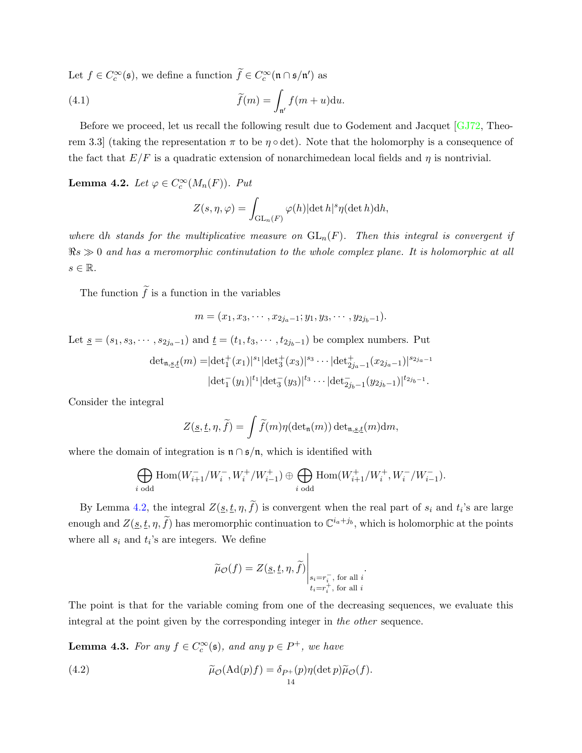<span id="page-13-4"></span>Let  $f \in C_c^{\infty}(\mathfrak{s})$ , we define a function  $\widetilde{f} \in C_c^{\infty}(\mathfrak{n} \cap \mathfrak{s}/\mathfrak{n}')$  as

(4.1) 
$$
\widetilde{f}(m) = \int_{\mathfrak{n}'} f(m+u) \mathrm{d}u.
$$

Before we proceed, let us recall the following result due to Godement and Jacquet [\[GJ72,](#page-29-4) Theorem 3.3] (taking the representation  $\pi$  to be  $\eta \circ \det$ ). Note that the holomorphy is a consequence of the fact that  $E/F$  is a quadratic extension of nonarchimedean local fields and  $\eta$  is nontrivial.

<span id="page-13-0"></span>**Lemma 4.2.** Let  $\varphi \in C_c^{\infty}(M_n(F))$ . Put

<span id="page-13-3"></span>
$$
Z(s, \eta, \varphi) = \int_{\mathrm{GL}_n(F)} \varphi(h) |\det h|^s \eta(\det h) dh,
$$

where dh stands for the multiplicative measure on  $GL_n(F)$ . Then this integral is convergent if  $\Re s \gg 0$  and has a meromorphic continutation to the whole complex plane. It is holomorphic at all  $s \in \mathbb{R}$ .

The function  $\tilde{f}$  is a function in the variables

$$
m=(x_1,x_3,\cdots,x_{2j_a-1};y_1,y_3,\cdots,y_{2j_b-1}).
$$

Let  $\underline{s} = (s_1, s_3, \cdots, s_{2j_a-1})$  and  $\underline{t} = (t_1, t_3, \cdots, t_{2j_b-1})$  be complex numbers. Put

$$
\det_{\mathfrak{n},\underline{s},\underline{t}}(m) = |\det_1^+(x_1)|^{s_1} |\det_3^+(x_3)|^{s_3} \cdots |\det_{2j_a-1}^+(x_{2j_a-1})|^{s_{2j_a-1}}
$$

$$
|\det_1^-(y_1)|^{t_1} |\det_3^-(y_3)|^{t_3} \cdots |\det_{2j_b-1}^-(y_{2j_b-1})|^{t_{2j_b-1}}.
$$

Consider the integral

$$
Z(\underline{s}, \underline{t}, \eta, \widetilde{f}) = \int \widetilde{f}(m) \eta(\det_{\mathfrak{n}}(m)) \det_{\mathfrak{n}, \underline{s}, \underline{t}}(m) dm,
$$

where the domain of integration is  $\mathfrak{n} \cap \mathfrak{s}/\mathfrak{n}$ , which is identified with

$$
\bigoplus_{i \text{ odd}} \text{Hom}(W_{i+1}^-/W_i^-, W_i^+/W_{i-1}^+) \oplus \bigoplus_{i \text{ odd}} \text{Hom}(W_{i+1}^+/W_i^+, W_i^-/W_{i-1}^-).
$$

By Lemma [4.2,](#page-13-0) the integral  $Z(\underline{s}, \underline{t}, \eta, f)$  is convergent when the real part of  $s_i$  and  $t_i$ 's are large enough and  $Z(\underline{s}, \underline{t}, \eta, \tilde{f})$  has meromorphic continuation to  $\mathbb{C}^{i_a+j_b}$ , which is holomorphic at the points where all  $s_i$  and  $t_i$ 's are integers. We define

<span id="page-13-1"></span>
$$
\widetilde{\mu}_{\mathcal{O}}(f) = Z(\underline{s}, \underline{t}, \eta, \widetilde{f}) \Big|_{\substack{s_i = r_i^-,\text{ for all } i\\t_i = r_i^+,\text{ for all } i}}.
$$

The point is that for the variable coming from one of the decreasing sequences, we evaluate this integral at the point given by the corresponding integer in the other sequence.

<span id="page-13-2"></span>**Lemma 4.3.** For any  $f \in C_c^{\infty}(\mathfrak{s})$ , and any  $p \in P^+$ , we have

(4.2) 
$$
\widetilde{\mu}_{\mathcal{O}}(\mathrm{Ad}(p)f) = \delta_{P^+}(p)\eta(\det p)\widetilde{\mu}_{\mathcal{O}}(f).
$$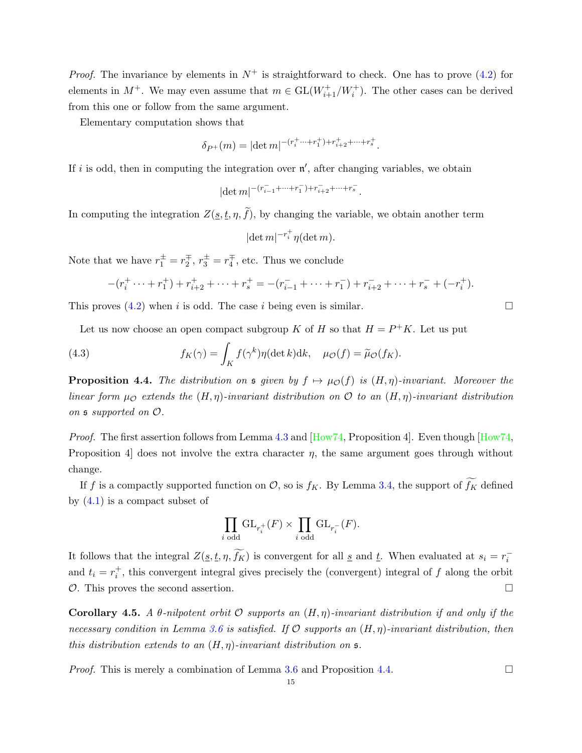<span id="page-14-1"></span>*Proof.* The invariance by elements in  $N^+$  is straightforward to check. One has to prove [\(4.2\)](#page-13-1) for elements in  $M^+$ . We may even assume that  $m \in GL(W^+_{i+1}/W^+_i)$ . The other cases can be derived from this one or follow from the same argument.

Elementary computation shows that

$$
\delta_{P^+}(m) = |\det m|^{-(r_i^+ \cdots + r_1^+) + r_{i+2}^+ + \cdots + r_s^+}.
$$

If i is odd, then in computing the integration over  $\mathfrak{n}'$ , after changing variables, we obtain

$$
|\!\det m|^{-(r_{i-1}^-+\cdots+r_1^-)+r_{i+2}^-+\cdots+r_s^-}.
$$

In computing the integration  $Z(\underline{s}, \underline{t}, \eta, \widetilde{f})$ , by changing the variable, we obtain another term

$$
|\det m|^{-r_i^+} \eta(\det m).
$$

Note that we have  $r_1^{\pm} = r_2^{\mp}$ ,  $r_3^{\pm} = r_4^{\mp}$ , etc. Thus we conclude

$$
-(r_i^+ \cdots + r_1^+) + r_{i+2}^+ + \cdots + r_s^+ = -(r_{i-1}^- + \cdots + r_1^-) + r_{i+2}^- + \cdots + r_s^- + (-r_i^+).
$$

This proves  $(4.2)$  when i is odd. The case i being even is similar.

Let us now choose an open compact subgroup K of H so that  $H = P^+K$ . Let us put

(4.3) 
$$
f_K(\gamma) = \int_K f(\gamma^k) \eta(\det k) \mathrm{d}k, \quad \mu_{\mathcal{O}}(f) = \widetilde{\mu}_{\mathcal{O}}(f_K).
$$

<span id="page-14-0"></span>**Proposition 4.4.** The distribution on  $\mathfrak{s}$  given by  $f \mapsto \mu_{\mathcal{O}}(f)$  is  $(H, \eta)$ -invariant. Moreover the linear form  $\mu_{\mathcal{O}}$  extends the  $(H, \eta)$ -invariant distribution on  $\mathcal O$  to an  $(H, \eta)$ -invariant distribution on s supported on O.

*Proof.* The first assertion follows from Lemma [4.3](#page-13-2) and  $[How74,$  Proposition 4. Even though  $[How74,$ Proposition 4 does not involve the extra character  $\eta$ , the same argument goes through without change.

If f is a compactly supported function on  $\mathcal{O}$ , so is  $f_K$ . By Lemma [3.4,](#page-9-2) the support of  $\widetilde{f_K}$  defined by  $(4.1)$  is a compact subset of

$$
\prod_{i \text{ odd}} \mathrm{GL}_{r_i^+}(F) \times \prod_{i \text{ odd}} \mathrm{GL}_{r_i^-}(F).
$$

It follows that the integral  $Z(\underline{s}, \underline{t}, \eta, \widetilde{f_K})$  is convergent for all  $\underline{s}$  and  $\underline{t}$ . When evaluated at  $s_i = r_i^{-1}$ and  $t_i = r_i^+$ , this convergent integral gives precisely the (convergent) integral of f along the orbit  $\mathcal{O}$ . This proves the second assertion.

Corollary 4.5. A  $\theta$ -nilpotent orbit  $\mathcal O$  supports an  $(H, \eta)$ -invariant distribution if and only if the necessary condition in Lemma [3.6](#page-10-1) is satisfied. If  $\mathcal O$  supports an  $(H, \eta)$ -invariant distribution, then this distribution extends to an  $(H, \eta)$ -invariant distribution on  $\mathfrak{s}$ .

*Proof.* This is merely a combination of Lemma [3.6](#page-10-1) and Proposition [4.4.](#page-14-0)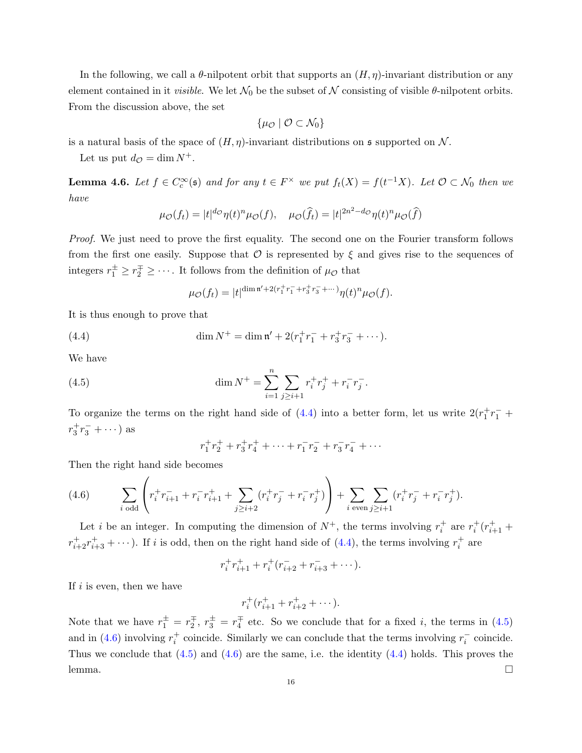In the following, we call a  $\theta$ -nilpotent orbit that supports an  $(H, \eta)$ -invariant distribution or any element contained in it *visible*. We let  $\mathcal{N}_0$  be the subset of  $\mathcal N$  consisting of visible  $\theta$ -nilpotent orbits. From the discussion above, the set

$$
\{\mu_{\mathcal{O}}\mid \mathcal{O}\subset \mathcal{N}_0\}
$$

is a natural basis of the space of  $(H, \eta)$ -invariant distributions on  $\mathfrak s$  supported on N.

Let us put  $d_{\mathcal{O}} = \dim N^+$ .

<span id="page-15-3"></span>**Lemma 4.6.** Let  $f \in C_c^{\infty}(\mathfrak{s})$  and for any  $t \in F^{\times}$  we put  $f_t(X) = f(t^{-1}X)$ . Let  $\mathcal{O} \subset \mathcal{N}_0$  then we have

$$
\mu_{\mathcal{O}}(f_t) = |t|^{d_{\mathcal{O}}}\eta(t)^n \mu_{\mathcal{O}}(f), \quad \mu_{\mathcal{O}}(\widehat{f}_t) = |t|^{2n^2 - d_{\mathcal{O}}} \eta(t)^n \mu_{\mathcal{O}}(\widehat{f})
$$

Proof. We just need to prove the first equality. The second one on the Fourier transform follows from the first one easily. Suppose that  $\mathcal O$  is represented by  $\xi$  and gives rise to the sequences of integers  $r_1^{\pm} \geq r_2^{\mp} \geq \cdots$ . It follows from the definition of  $\mu_{\mathcal{O}}$  that

<span id="page-15-0"></span>
$$
\mu_{\mathcal{O}}(f_t) = |t|^{\dim \mathfrak{n}' + 2(r_1^+ r_1^- + r_3^+ r_3^- + \cdots)} \eta(t)^n \mu_{\mathcal{O}}(f).
$$

It is thus enough to prove that

(4.4) 
$$
\dim N^+ = \dim \mathfrak{n}' + 2(r_1^+ r_1^- + r_3^+ r_3^- + \cdots).
$$

We have

(4.5) 
$$
\dim N^+ = \sum_{i=1}^n \sum_{j \ge i+1} r_i^+ r_j^+ + r_i^- r_j^-.
$$

To organize the terms on the right hand side of  $(4.4)$  into a better form, let us write  $2(r_1^+r_1^- +$  $r_3^+r_3^- + \cdots$ ) as

<span id="page-15-1"></span>
$$
r_1^+ r_2^+ + r_3^+ r_4^+ + \dots + r_1^- r_2^- + r_3^- r_4^- + \dots
$$

Then the right hand side becomes

<span id="page-15-2"></span>(4.6) 
$$
\sum_{i \text{ odd}} \left( r_i^+ r_{i+1}^- + r_i^- r_{i+1}^+ + \sum_{j \geq i+2} (r_i^+ r_j^- + r_i^- r_j^+) \right) + \sum_{i \text{ even}} \sum_{j \geq i+1} (r_i^+ r_j^- + r_i^- r_j^+).
$$

Let *i* be an integer. In computing the dimension of  $N^+$ , the terms involving  $r_i^+$  are  $r_i^+(r_{i+1}^+$  $r_{i+2}^+r_{i+3}^+ + \cdots$ ). If i is odd, then on the right hand side of [\(4.4\)](#page-15-0), the terms involving  $r_i^+$  are

$$
r_i^+ r_{i+1}^+ + r_i^+ (r_{i+2}^- + r_{i+3}^- + \cdots).
$$

If  $i$  is even, then we have

$$
r_i^+(r_{i+1}^+ + r_{i+2}^+ + \cdots).
$$

Note that we have  $r_1^{\pm} = r_2^{\mp}$ ,  $r_3^{\pm} = r_4^{\mp}$  etc. So we conclude that for a fixed *i*, the terms in [\(4.5\)](#page-15-1) and in [\(4.6\)](#page-15-2) involving  $r_i^+$  coincide. Similarly we can conclude that the terms involving  $r_i^-$  coincide. Thus we conclude that  $(4.5)$  and  $(4.6)$  are the same, i.e. the identity  $(4.4)$  holds. This proves the  $l$ emma.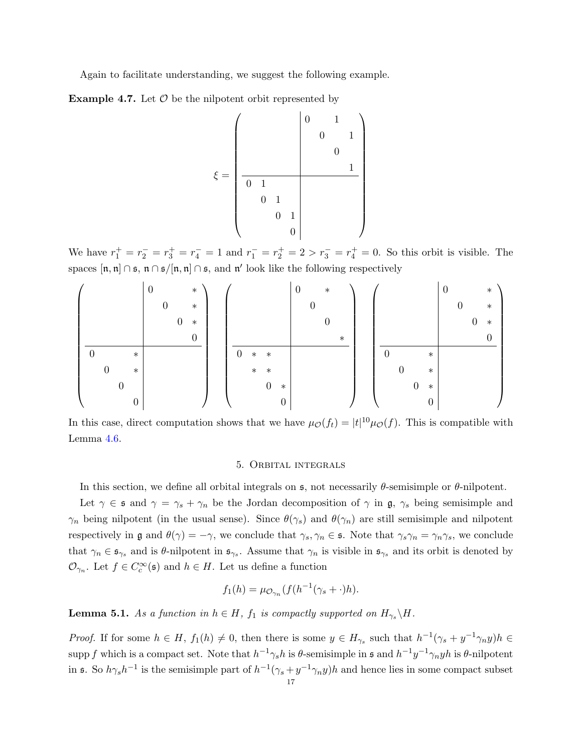Again to facilitate understanding, we suggest the following example.

**Example 4.7.** Let  $\mathcal{O}$  be the nilpotent orbit represented by

$$
\xi = \left(\begin{array}{cc|cc} & & 0 & & 1 & \\ & & 0 & & 1 & \\ & & & & 0 & \\ \hline 0 & 1 & & & & \\ & & 0 & 1 & & \\ & & & 0 & & \\ & & & & 0 & \end{array}\right)
$$

We have  $r_1^+ = r_2^- = r_3^+ = r_4^- = 1$  and  $r_1^- = r_2^+ = 2 > r_3^- = r_4^+ = 0$ . So this orbit is visible. The spaces  $[n, n] \cap \mathfrak{s}, n \cap \mathfrak{s}/[n, n] \cap \mathfrak{s},$  and n' look like the following respectively

|          |                  |          | $\theta$ |                  |                  | $\ast$   |                |        |                  |                  | $\theta$ |   | $\ast$ |        |   |                  |          |                  | 0 |          |                  | $\ast$   |  |
|----------|------------------|----------|----------|------------------|------------------|----------|----------------|--------|------------------|------------------|----------|---|--------|--------|---|------------------|----------|------------------|---|----------|------------------|----------|--|
|          |                  |          |          | $\boldsymbol{0}$ |                  | $\ast$   |                |        |                  |                  |          | 0 |        |        |   |                  |          |                  |   | $\theta$ |                  | $\ast$   |  |
|          |                  |          |          |                  | $\boldsymbol{0}$ | $\ast$   |                |        |                  |                  |          |   |        |        |   |                  |          |                  |   |          | $\boldsymbol{0}$ | $\ast$   |  |
|          |                  |          |          |                  |                  | $\theta$ |                |        |                  |                  |          |   |        | $\ast$ |   |                  |          |                  |   |          |                  | $\theta$ |  |
| $\theta$ |                  | $\ast$   |          |                  |                  |          | $\overline{0}$ | $\ast$ | $\ast$           |                  |          |   |        |        | 0 |                  |          | $\ast$           |   |          |                  |          |  |
|          | $\boldsymbol{0}$ | $\ast$   |          |                  |                  |          |                | $\ast$ | $\ast$           |                  |          |   |        |        |   | $\boldsymbol{0}$ |          | $\ast$           |   |          |                  |          |  |
|          |                  |          |          |                  |                  |          |                |        | $\boldsymbol{0}$ | $\ast$           |          |   |        |        |   |                  | $\theta$ | $\ast$           |   |          |                  |          |  |
|          |                  | $\theta$ |          |                  |                  |          |                |        |                  | $\boldsymbol{0}$ |          |   |        |        |   |                  |          | $\boldsymbol{0}$ |   |          |                  |          |  |

In this case, direct computation shows that we have  $\mu_{\mathcal{O}}(f_t) = |t|^{10} \mu_{\mathcal{O}}(f)$ . This is compatible with Lemma [4.6.](#page-15-3)

### 5. Orbital integrals

<span id="page-16-0"></span>In this section, we define all orbital integrals on  $\mathfrak{s}$ , not necessarily  $\theta$ -semisimple or  $\theta$ -nilpotent.

Let  $\gamma \in \mathfrak{s}$  and  $\gamma = \gamma_s + \gamma_n$  be the Jordan decomposition of  $\gamma$  in  $\mathfrak{g}, \gamma_s$  being semisimple and  $\gamma_n$  being nilpotent (in the usual sense). Since  $\theta(\gamma_s)$  and  $\theta(\gamma_n)$  are still semisimple and nilpotent respectively in g and  $\theta(\gamma) = -\gamma$ , we conclude that  $\gamma_s, \gamma_n \in \mathfrak{s}$ . Note that  $\gamma_s \gamma_n = \gamma_n \gamma_s$ , we conclude that  $\gamma_n \in \mathfrak{s}_{\gamma_s}$  and is  $\theta$ -nilpotent in  $\mathfrak{s}_{\gamma_s}$ . Assume that  $\gamma_n$  is visible in  $\mathfrak{s}_{\gamma_s}$  and its orbit is denoted by  $\mathcal{O}_{\gamma_n}$ . Let  $f \in C_c^{\infty}(\mathfrak{s})$  and  $h \in H$ . Let us define a function

$$
f_1(h) = \mu_{\mathcal{O}_{\gamma_n}}(f(h^{-1}(\gamma_s + \cdot)h)).
$$

<span id="page-16-1"></span>**Lemma 5.1.** As a function in  $h \in H$ ,  $f_1$  is compactly supported on  $H_{\gamma_s} \backslash H$ .

*Proof.* If for some  $h \in H$ ,  $f_1(h) \neq 0$ , then there is some  $y \in H_{\gamma_s}$  such that  $h^{-1}(\gamma_s + y^{-1}\gamma_n y)h \in$ supp f which is a compact set. Note that  $h^{-1}\gamma_s h$  is  $\theta$ -semisimple in  $\mathfrak s$  and  $h^{-1}y^{-1}\gamma_n yh$  is  $\theta$ -nilpotent in **s**. So  $h\gamma_s h^{-1}$  is the semisimple part of  $h^{-1}(\gamma_s + y^{-1}\gamma_n y)h$  and hence lies in some compact subset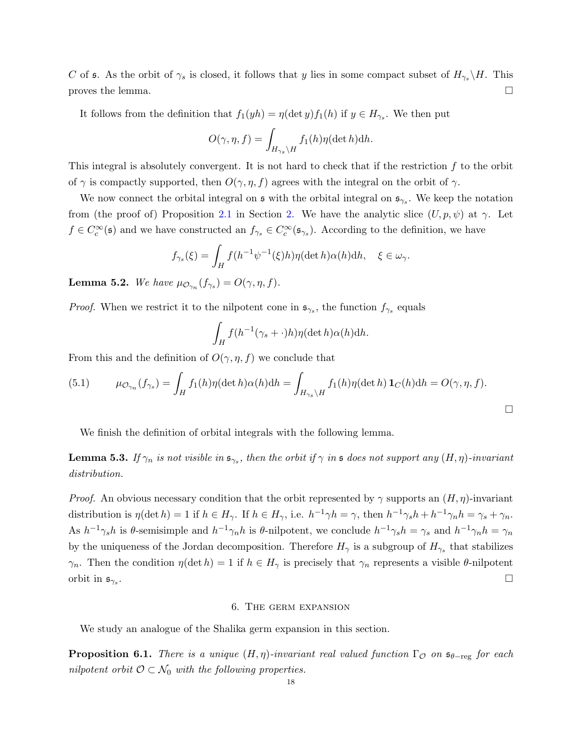C of s. As the orbit of  $\gamma_s$  is closed, it follows that y lies in some compact subset of  $H_{\gamma_s} \backslash H$ . This proves the lemma.  $\square$ 

It follows from the definition that  $f_1(yh) = \eta(\det y) f_1(h)$  if  $y \in H_{\gamma_s}$ . We then put

$$
O(\gamma, \eta, f) = \int_{H_{\gamma_s} \backslash H} f_1(h) \eta(\det h) dh.
$$

This integral is absolutely convergent. It is not hard to check that if the restriction  $f$  to the orbit of  $\gamma$  is compactly supported, then  $O(\gamma, \eta, f)$  agrees with the integral on the orbit of  $\gamma$ .

We now connect the orbital integral on  $\mathfrak s$  with the orbital integral on  $\mathfrak s_{\gamma_s}$ . We keep the notation from (the proof of) Proposition [2.1](#page-6-0) in Section [2.](#page-4-0) We have the analytic slice  $(U, p, \psi)$  at  $\gamma$ . Let  $f \in C_c^{\infty}(\mathfrak{s})$  and we have constructed an  $f_{\gamma_s} \in C_c^{\infty}(\mathfrak{s}_{\gamma_s})$ . According to the definition, we have

$$
f_{\gamma_s}(\xi) = \int_H f(h^{-1}\psi^{-1}(\xi)h)\eta(\det h)\alpha(h)\mathrm{d}h, \quad \xi \in \omega_\gamma.
$$

<span id="page-17-3"></span>**Lemma 5.2.** We have  $\mu_{\mathcal{O}_{\gamma_n}}(f_{\gamma_s}) = O(\gamma, \eta, f)$ .

*Proof.* When we restrict it to the nilpotent cone in  $\mathfrak{s}_{\gamma_s}$ , the function  $f_{\gamma_s}$  equals

$$
\int_H f(h^{-1}(\gamma_s + \cdot)h)\eta(\det h)\alpha(h)\mathrm{d}h.
$$

From this and the definition of  $O(\gamma, \eta, f)$  we conclude that

<span id="page-17-2"></span>(5.1) 
$$
\mu_{\mathcal{O}_{\gamma_n}}(f_{\gamma_s}) = \int_H f_1(h)\eta(\det h)\alpha(h)dh = \int_{H_{\gamma_s}\backslash H} f_1(h)\eta(\det h)\mathbf{1}_C(h)dh = O(\gamma, \eta, f).
$$

We finish the definition of orbital integrals with the following lemma.

<span id="page-17-4"></span>**Lemma 5.3.** If  $\gamma_n$  is not visible in  $\mathfrak{s}_{\gamma_s}$ , then the orbit if  $\gamma$  in  $\mathfrak s$  does not support any  $(H,\eta)$ -invariant distribution.

*Proof.* An obvious necessary condition that the orbit represented by  $\gamma$  supports an  $(H, \eta)$ -invariant distribution is  $\eta(\det h) = 1$  if  $h \in H_{\gamma}$ . If  $h \in H_{\gamma}$ , i.e.  $h^{-1}\gamma h = \gamma$ , then  $h^{-1}\gamma_s h + h^{-1}\gamma_n h = \gamma_s + \gamma_n$ . As  $h^{-1}\gamma_s h$  is  $\theta$ -semisimple and  $h^{-1}\gamma_n h$  is  $\theta$ -nilpotent, we conclude  $h^{-1}\gamma_s h = \gamma_s$  and  $h^{-1}\gamma_n h = \gamma_n$ by the uniqueness of the Jordan decomposition. Therefore  $H_{\gamma}$  is a subgroup of  $H_{\gamma_s}$  that stabilizes  $\gamma_n$ . Then the condition  $\eta(\det h) = 1$  if  $h \in H_\gamma$  is precisely that  $\gamma_n$  represents a visible  $\theta$ -nilpotent orbit in  $\mathfrak{s}_{\gamma_s}$ . .

#### 6. The germ expansion

<span id="page-17-0"></span>We study an analogue of the Shalika germ expansion in this section.

<span id="page-17-1"></span>**Proposition 6.1.** There is a unique  $(H, \eta)$ -invariant real valued function  $\Gamma_{\mathcal{O}}$  on  $\mathfrak{s}_{\theta-\text{reg}}$  for each nilpotent orbit  $\mathcal{O} \subset \mathcal{N}_0$  with the following properties.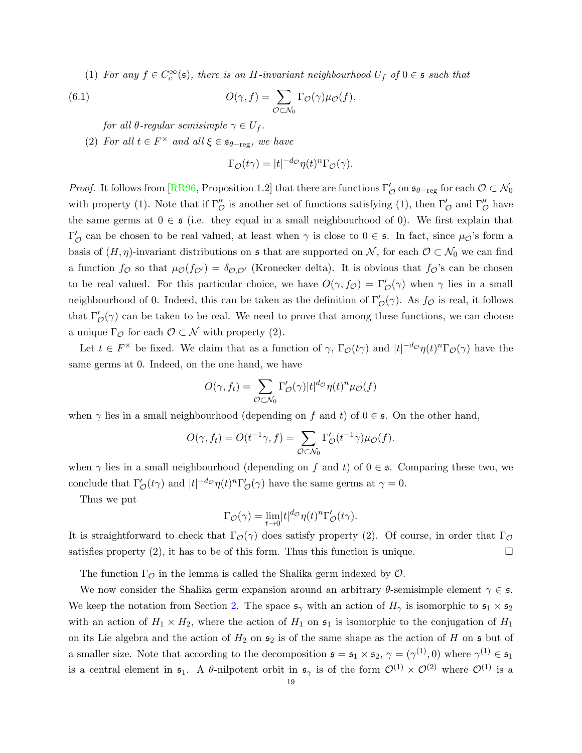<span id="page-18-0"></span>(1) For any  $f \in C_c^{\infty}(\mathfrak{s})$ , there is an H-invariant neighbourhood  $U_f$  of  $0 \in \mathfrak{s}$  such that

(6.1) 
$$
O(\gamma, f) = \sum_{\mathcal{O} \subset \mathcal{N}_0} \Gamma_{\mathcal{O}}(\gamma) \mu_{\mathcal{O}}(f).
$$

for all  $\theta$ -regular semisimple  $\gamma \in U_f$ .

(2) For all  $t \in F^{\times}$  and all  $\xi \in \mathfrak{s}_{\theta - \text{reg}}$ , we have

$$
\Gamma_{\mathcal{O}}(t\gamma) = |t|^{-d_{\mathcal{O}}}\eta(t)^n \Gamma_{\mathcal{O}}(\gamma).
$$

*Proof.* It follows from [\[RR96,](#page-30-1) Proposition 1.2] that there are functions  $\Gamma'_{\mathcal{O}}$  on  $\mathfrak{s}_{\theta-\text{reg}}$  for each  $\mathcal{O} \subset \mathcal{N}_0$ with property (1). Note that if  $\Gamma''_{\mathcal{O}}$  is another set of functions satisfying (1), then  $\Gamma'_{\mathcal{O}}$  and  $\Gamma''_{\mathcal{O}}$  have the same germs at  $0 \in \mathfrak{s}$  (i.e. they equal in a small neighbourhood of 0). We first explain that  $\Gamma'_{\mathcal{O}}$  can be chosen to be real valued, at least when  $\gamma$  is close to  $0 \in \mathfrak{s}$ . In fact, since  $\mu_{\mathcal{O}}$ 's form a basis of  $(H, \eta)$ -invariant distributions on s that are supported on N, for each  $\mathcal{O} \subset \mathcal{N}_0$  we can find a function  $f_{\mathcal{O}}$  so that  $\mu_{\mathcal{O}}(f_{\mathcal{O}'}) = \delta_{\mathcal{O},\mathcal{O}'}$  (Kronecker delta). It is obvious that  $f_{\mathcal{O}}$ 's can be chosen to be real valued. For this particular choice, we have  $O(\gamma, f_{\mathcal{O}}) = \Gamma'_{\mathcal{O}}(\gamma)$  when  $\gamma$  lies in a small neighbourhood of 0. Indeed, this can be taken as the definition of  $\Gamma'_{\mathcal{O}}(\gamma)$ . As  $f_{\mathcal{O}}$  is real, it follows that  $\Gamma'_{\mathcal{O}}(\gamma)$  can be taken to be real. We need to prove that among these functions, we can choose a unique  $\Gamma_{\mathcal{O}}$  for each  $\mathcal{O} \subset \mathcal{N}$  with property (2).

Let  $t \in F^{\times}$  be fixed. We claim that as a function of  $\gamma$ ,  $\Gamma_{\mathcal{O}}(t\gamma)$  and  $|t|^{-d_{\mathcal{O}}}\eta(t)^n \Gamma_{\mathcal{O}}(\gamma)$  have the same germs at 0. Indeed, on the one hand, we have

$$
O(\gamma, f_t) = \sum_{\mathcal{O} \subset \mathcal{N}_0} \Gamma'_{\mathcal{O}}(\gamma) |t|^{d_{\mathcal{O}}} \eta(t)^n \mu_{\mathcal{O}}(f)
$$

when  $\gamma$  lies in a small neighbourhood (depending on f and t) of  $0 \in \mathfrak{s}$ . On the other hand,

$$
O(\gamma, f_t) = O(t^{-1}\gamma, f) = \sum_{\mathcal{O} \subset \mathcal{N}_0} \Gamma'_{\mathcal{O}}(t^{-1}\gamma) \mu_{\mathcal{O}}(f).
$$

when  $\gamma$  lies in a small neighbourhood (depending on f and t) of  $0 \in \mathfrak{s}$ . Comparing these two, we conclude that  $\Gamma'_{\mathcal{O}}(t\gamma)$  and  $|t|^{-d_{\mathcal{O}}}\eta(t)^n \Gamma'_{\mathcal{O}}(\gamma)$  have the same germs at  $\gamma = 0$ .

Thus we put

$$
\Gamma_{\mathcal{O}}(\gamma) = \lim_{t \to 0} |t|^{d_{\mathcal{O}}} \eta(t)^n \Gamma_{\mathcal{O}}'(t\gamma).
$$

It is straightforward to check that  $\Gamma_{\mathcal{O}}(\gamma)$  does satisfy property (2). Of course, in order that  $\Gamma_{\mathcal{O}}$ satisfies property  $(2)$ , it has to be of this form. Thus this function is unique.

The function  $\Gamma_{\mathcal{O}}$  in the lemma is called the Shalika germ indexed by  $\mathcal{O}$ .

We now consider the Shalika germ expansion around an arbitrary  $\theta$ -semisimple element  $\gamma \in \mathfrak{s}$ . We keep the notation from Section [2.](#page-4-0) The space  $\mathfrak{s}_{\gamma}$  with an action of  $H_{\gamma}$  is isomorphic to  $\mathfrak{s}_1 \times \mathfrak{s}_2$ with an action of  $H_1 \times H_2$ , where the action of  $H_1$  on  $\mathfrak{s}_1$  is isomorphic to the conjugation of  $H_1$ on its Lie algebra and the action of  $H_2$  on  $\mathfrak{s}_2$  is of the same shape as the action of H on  $\mathfrak{s}$  but of a smaller size. Note that according to the decomposition  $\mathfrak{s} = \mathfrak{s}_1 \times \mathfrak{s}_2$ ,  $\gamma = (\gamma^{(1)}, 0)$  where  $\gamma^{(1)} \in \mathfrak{s}_1$ is a central element in  $\mathfrak{s}_1$ . A  $\theta$ -nilpotent orbit in  $\mathfrak{s}_{\gamma}$  is of the form  $\mathcal{O}^{(1)} \times \mathcal{O}^{(2)}$  where  $\mathcal{O}^{(1)}$  is a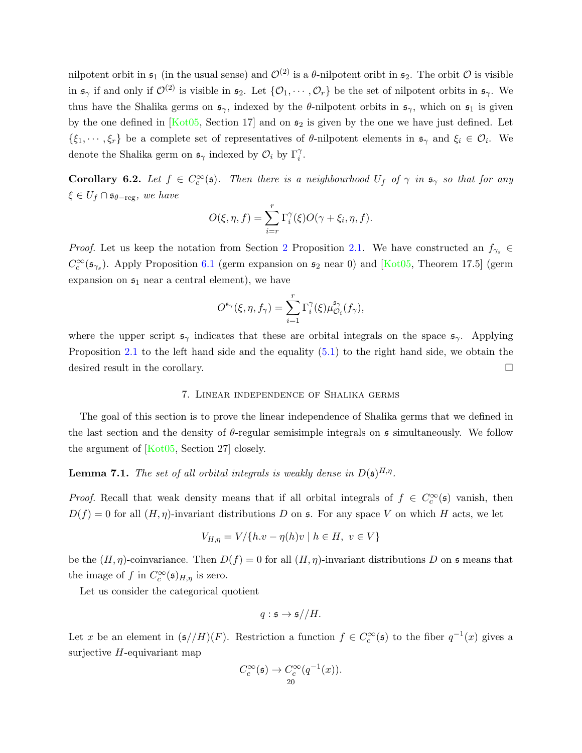<span id="page-19-2"></span>nilpotent orbit in  $\mathfrak{s}_1$  (in the usual sense) and  $\mathcal{O}^{(2)}$  is a  $\theta$ -nilpotent oribt in  $\mathfrak{s}_2$ . The orbit  $\mathcal O$  is visible in  $\mathfrak{s}_{\gamma}$  if and only if  $\mathcal{O}^{(2)}$  is visible in  $\mathfrak{s}_{2}$ . Let  $\{\mathcal{O}_{1}, \cdots, \mathcal{O}_{r}\}$  be the set of nilpotent orbits in  $\mathfrak{s}_{\gamma}$ . We thus have the Shalika germs on  $\mathfrak{s}_{\gamma}$ , indexed by the  $\theta$ -nilpotent orbits in  $\mathfrak{s}_{\gamma}$ , which on  $\mathfrak{s}_1$  is given by the one defined in  $Kot05$ , Section 17 and on  $s_2$  is given by the one we have just defined. Let  $\{\xi_1,\dots,\xi_r\}$  be a complete set of representatives of  $\theta$ -nilpotent elements in  $\mathfrak{s}_{\gamma}$  and  $\xi_i \in \mathcal{O}_i$ . We denote the Shalika germ on  $\mathfrak{s}_{\gamma}$  indexed by  $\mathcal{O}_i$  by  $\Gamma_i^{\gamma}$ .

**Corollary 6.2.** Let  $f \in C_c^{\infty}(\mathfrak{s})$ . Then there is a neighbourhood  $U_f$  of  $\gamma$  in  $\mathfrak{s}_{\gamma}$  so that for any  $\xi \in U_f \cap \mathfrak{s}_{\theta-\text{reg}},$  we have

$$
O(\xi, \eta, f) = \sum_{i=r}^{r} \Gamma_i^{\gamma}(\xi) O(\gamma + \xi_i, \eta, f).
$$

*Proof.* Let us keep the notation from Section [2](#page-4-0) Proposition [2.1.](#page-6-0) We have constructed an  $f_{\gamma_s} \in$  $C_c^{\infty}(\mathfrak{s}_{\gamma_s})$ . Apply Proposition [6.1](#page-17-1) (germ expansion on  $\mathfrak{s}_2$  near 0) and [\[Kot05,](#page-30-7) Theorem 17.5] (germ expansion on  $\mathfrak{s}_1$  near a central element), we have

$$
O^{\mathfrak{s}_{\gamma}}(\xi,\eta,f_{\gamma})=\sum_{i=1}^r\Gamma_i^{\gamma}(\xi)\mu^{\mathfrak{s}_{\gamma}}_{\mathcal{O}_i}(f_{\gamma}),
$$

where the upper script  $\mathfrak{s}_{\gamma}$  indicates that these are orbital integrals on the space  $\mathfrak{s}_{\gamma}$ . Applying Proposition [2.1](#page-6-0) to the left hand side and the equality [\(5.1\)](#page-17-2) to the right hand side, we obtain the desired result in the corollary.

#### 7. Linear independence of Shalika germs

<span id="page-19-0"></span>The goal of this section is to prove the linear independence of Shalika germs that we defined in the last section and the density of  $\theta$ -regular semisimple integrals on s simultaneously. We follow the argument of [\[Kot05,](#page-30-7) Section 27] closely.

<span id="page-19-1"></span>**Lemma 7.1.** The set of all orbital integrals is weakly dense in  $D(\mathfrak{s})^{H,\eta}$ .

*Proof.* Recall that weak density means that if all orbital integrals of  $f \in C_c^{\infty}(\mathfrak{s})$  vanish, then  $D(f) = 0$  for all  $(H, \eta)$ -invariant distributions D on s. For any space V on which H acts, we let

$$
V_{H,\eta} = V / \{ h.v - \eta(h)v \mid h \in H, v \in V \}
$$

be the  $(H, \eta)$ -coinvariance. Then  $D(f) = 0$  for all  $(H, \eta)$ -invariant distributions D on  $\mathfrak s$  means that the image of f in  $C_c^{\infty}(\mathfrak{s})_{H,\eta}$  is zero.

Let us consider the categorical quotient

$$
q: \mathfrak{s} \to \mathfrak{s} // H.
$$

Let x be an element in  $(\mathfrak{s}/H)(F)$ . Restriction a function  $f \in C_c^{\infty}(\mathfrak{s})$  to the fiber  $q^{-1}(x)$  gives a surjective  $H$ -equivariant map

$$
C_c^{\infty}(\mathfrak{s}) \to C_c^{\infty}(q^{-1}(x)).
$$
  
20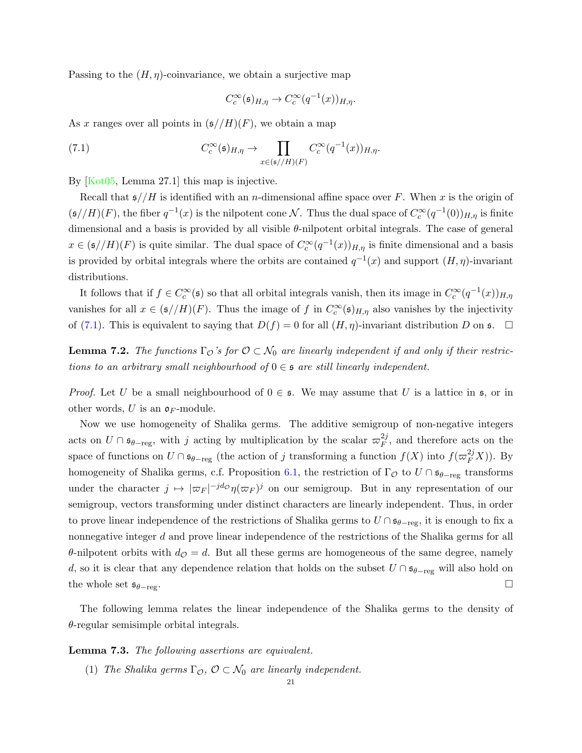<span id="page-20-3"></span>Passing to the  $(H, \eta)$ -coinvariance, we obtain a surjective map

<span id="page-20-0"></span>
$$
C_c^{\infty}(\mathfrak{s})_{H,\eta} \to C_c^{\infty}(q^{-1}(x))_{H,\eta}.
$$

As x ranges over all points in  $(\mathfrak{s}/H)(F)$ , we obtain a map

(7.1) 
$$
C_c^{\infty}(\mathfrak{s})_{H,\eta} \to \prod_{x \in (\mathfrak{s}/H)(F)} C_c^{\infty}(q^{-1}(x))_{H,\eta}.
$$

By [\[Kot05,](#page-30-7) Lemma 27.1] this map is injective.

Recall that  $\mathfrak{s}/H$  is identified with an *n*-dimensional affine space over F. When x is the origin of  $(\mathfrak{s}/H)(F)$ , the fiber  $q^{-1}(x)$  is the nilpotent cone N. Thus the dual space of  $C_c^{\infty}(q^{-1}(0))_{H,\eta}$  is finite dimensional and a basis is provided by all visible  $\theta$ -nilpotent orbital integrals. The case of general  $x \in (\mathfrak{s}/H)(F)$  is quite similar. The dual space of  $C_c^{\infty}(q^{-1}(x))_{H,\eta}$  is finite dimensional and a basis is provided by orbital integrals where the orbits are contained  $q^{-1}(x)$  and support  $(H, \eta)$ -invariant distributions.

It follows that if  $f \in C_c^{\infty}(\mathfrak{s})$  so that all orbital integrals vanish, then its image in  $C_c^{\infty}(q^{-1}(x))_{H,\eta}$ vanishes for all  $x \in (\mathfrak{s}/H)(F)$ . Thus the image of f in  $C_c^{\infty}(\mathfrak{s})_{H,\eta}$  also vanishes by the injectivity of [\(7.1\)](#page-20-0). This is equivalent to saying that  $D(f) = 0$  for all  $(H, \eta)$ -invariant distribution D on  $\mathfrak{s}$ .  $\Box$ 

<span id="page-20-2"></span>**Lemma 7.2.** The functions  $\Gamma_{\mathcal{O}}$ 's for  $\mathcal{O} \subset \mathcal{N}_0$  are linearly independent if and only if their restrictions to an arbitrary small neighbourhood of  $0 \in \mathfrak{s}$  are still linearly independent.

*Proof.* Let U be a small neighbourhood of  $0 \in \mathfrak{s}$ . We may assume that U is a lattice in  $\mathfrak{s}$ , or in other words, U is an  $\mathfrak{o}_F$ -module.

Now we use homogeneity of Shalika germs. The additive semigroup of non-negative integers acts on  $U \cap \mathfrak{s}_{\theta-\text{reg}}$ , with j acting by multiplication by the scalar  $\varpi_F^{2j}$  $\frac{2j}{F}$ , and therefore acts on the space of functions on  $U \cap \mathfrak{s}_{\theta-\text{reg}}$  (the action of j transforming a function  $f(X)$  into  $f(\varpi_F^{2j}X)$ ). By homogeneity of Shalika germs, c.f. Proposition [6.1,](#page-17-1) the restriction of  $\Gamma_{\mathcal{O}}$  to  $U \cap \mathfrak{s}_{\theta-\text{reg}}$  transforms under the character  $j \mapsto |\varpi_F|^{-jd} \sigma_{\eta}(\varpi_F)^j$  on our semigroup. But in any representation of our semigroup, vectors transforming under distinct characters are linearly independent. Thus, in order to prove linear independence of the restrictions of Shalika germs to  $U \cap \mathfrak{s}_{\theta-\text{reg}}$ , it is enough to fix a nonnegative integer d and prove linear independence of the restrictions of the Shalika germs for all θ-nilpotent orbits with  $d<sub>Q</sub> = d$ . But all these germs are homogeneous of the same degree, namely d, so it is clear that any dependence relation that holds on the subset  $U \cap \mathfrak{s}_{\theta-\text{reg}}$  will also hold on the whole set  $s_{\theta-\text{reg}}$ .

The following lemma relates the linear independence of the Shalika germs to the density of  $\theta$ -regular semisimple orbital integrals.

#### <span id="page-20-1"></span>Lemma 7.3. The following assertions are equivalent.

(1) The Shalika germs  $\Gamma_{\mathcal{O}}, \mathcal{O} \subset \mathcal{N}_0$  are linearly independent.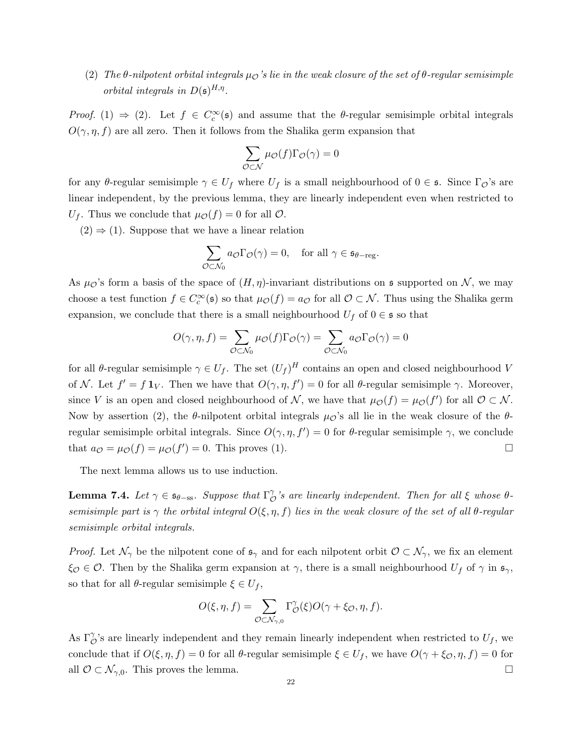(2) The  $\theta$ -nilpotent orbital integrals  $\mu_{\mathcal{O}}$ 's lie in the weak closure of the set of  $\theta$ -regular semisimple orbital integrals in  $D(\mathfrak{s})^{H,\eta}$ .

Proof. (1)  $\Rightarrow$  (2). Let  $f \in C_c^{\infty}(\mathfrak{s})$  and assume that the  $\theta$ -regular semisimple orbital integrals  $O(\gamma, \eta, f)$  are all zero. Then it follows from the Shalika germ expansion that

$$
\sum_{\mathcal{O}\subset\mathcal{N}}\mu_{\mathcal{O}}(f)\Gamma_{\mathcal{O}}(\gamma)=0
$$

for any θ-regular semisimple  $\gamma \in U_f$  where  $U_f$  is a small neighbourhood of  $0 \in \mathfrak{s}$ . Since  $\Gamma_{\mathcal{O}}$ 's are linear independent, by the previous lemma, they are linearly independent even when restricted to  $U_f$ . Thus we conclude that  $\mu_{\mathcal{O}}(f) = 0$  for all  $\mathcal{O}$ .

 $(2) \Rightarrow (1)$ . Suppose that we have a linear relation

$$
\sum_{\mathcal{O}\subset\mathcal{N}_0} a_{\mathcal{O}} \Gamma_{\mathcal{O}}(\gamma) = 0, \quad \text{for all } \gamma \in \mathfrak{s}_{\theta-\text{reg}}.
$$

As  $\mu_{\mathcal{O}}$ 's form a basis of the space of  $(H, \eta)$ -invariant distributions on s supported on N, we may choose a test function  $f \in C_c^{\infty}(\mathfrak{s})$  so that  $\mu_{\mathcal{O}}(f) = a_{\mathcal{O}}$  for all  $\mathcal{O} \subset \mathcal{N}$ . Thus using the Shalika germ expansion, we conclude that there is a small neighbourhood  $U_f$  of  $0 \in \mathfrak{s}$  so that

$$
O(\gamma, \eta, f) = \sum_{\mathcal{O} \subset \mathcal{N}_0} \mu_{\mathcal{O}}(f) \Gamma_{\mathcal{O}}(\gamma) = \sum_{\mathcal{O} \subset \mathcal{N}_0} a_{\mathcal{O}} \Gamma_{\mathcal{O}}(\gamma) = 0
$$

for all  $\theta$ -regular semisimple  $\gamma \in U_f$ . The set  $(U_f)^H$  contains an open and closed neighbourhood V of N. Let  $f' = f \mathbf{1}_V$ . Then we have that  $O(\gamma, \eta, f') = 0$  for all  $\theta$ -regular semisimple  $\gamma$ . Moreover, since V is an open and closed neighbourhood of N, we have that  $\mu_{\mathcal{O}}(f) = \mu_{\mathcal{O}}(f')$  for all  $\mathcal{O} \subset \mathcal{N}$ . Now by assertion (2), the  $\theta$ -nilpotent orbital integrals  $\mu_{\mathcal{O}}$ 's all lie in the weak closure of the  $\theta$ regular semisimple orbital integrals. Since  $O(\gamma, \eta, f') = 0$  for  $\theta$ -regular semisimple  $\gamma$ , we conclude that  $a_{\mathcal{O}} = \mu_{\mathcal{O}}(f) = \mu_{\mathcal{O}}(f') = 0$ . This proves (1).

The next lemma allows us to use induction.

<span id="page-21-0"></span>**Lemma 7.4.** Let  $\gamma \in \mathfrak{s}_{\theta-\text{ss}}$ . Suppose that  $\Gamma_{\mathcal{C}}^{\gamma}$  $\int_{\mathcal{O}}^{\gamma}$ 's are linearly independent. Then for all  $\xi$  whose  $\theta$ semisimple part is  $\gamma$  the orbital integral  $O(\xi, \eta, f)$  lies in the weak closure of the set of all  $\theta$ -regular semisimple orbital integrals.

*Proof.* Let  $\mathcal{N}_{\gamma}$  be the nilpotent cone of  $\mathfrak{s}_{\gamma}$  and for each nilpotent orbit  $\mathcal{O} \subset \mathcal{N}_{\gamma}$ , we fix an element  $\xi_{\mathcal{O}} \in \mathcal{O}$ . Then by the Shalika germ expansion at  $\gamma$ , there is a small neighbourhood  $U_f$  of  $\gamma$  in  $\mathfrak{s}_{\gamma}$ , so that for all  $\theta$ -regular semisimple  $\xi \in U_f$ ,

$$
O(\xi, \eta, f) = \sum_{\mathcal{O} \subset \mathcal{N}_{\gamma,0}} \Gamma_{\mathcal{O}}^{\gamma}(\xi) O(\gamma + \xi \mathcal{O}, \eta, f).
$$

As  $\Gamma_{\mathcal{O}}^{\gamma}$ 's are linearly independent and they remain linearly independent when restricted to  $U_f$ , we conclude that if  $O(\xi, \eta, f) = 0$  for all  $\theta$ -regular semisimple  $\xi \in U_f$ , we have  $O(\gamma + \xi_{\mathcal{O}}, \eta, f) = 0$  for all  $\mathcal{O} \subset \mathcal{N}_{\gamma,0}$ . This proves the lemma.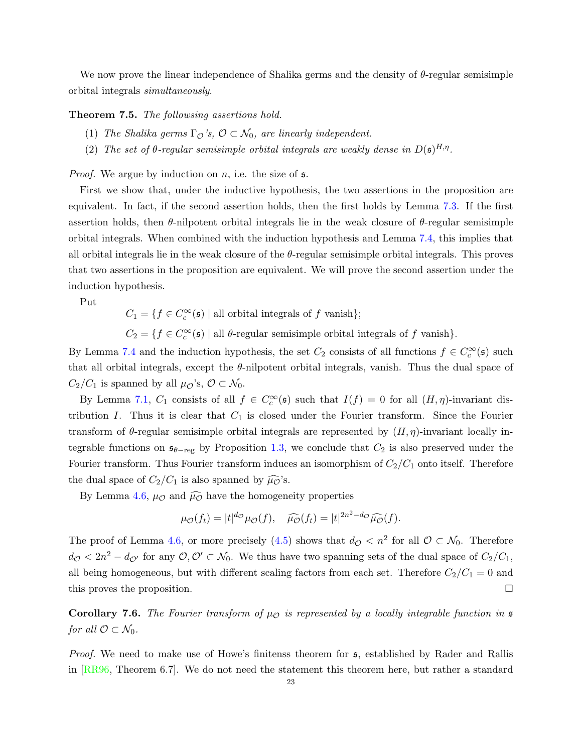<span id="page-22-2"></span>We now prove the linear independence of Shalika germs and the density of  $\theta$ -regular semisimple orbital integrals simultaneously.

<span id="page-22-0"></span>Theorem 7.5. The followsing assertions hold.

- (1) The Shalika germs  $\Gamma_{\mathcal{O}}$ 's,  $\mathcal{O} \subset \mathcal{N}_0$ , are linearly independent.
- (2) The set of  $\theta$ -regular semisimple orbital integrals are weakly dense in  $D(\mathfrak{s})^{H,\eta}$ .

*Proof.* We argue by induction on n, i.e. the size of  $\mathfrak{s}$ .

First we show that, under the inductive hypothesis, the two assertions in the proposition are equivalent. In fact, if the second assertion holds, then the first holds by Lemma [7.3.](#page-20-1) If the first assertion holds, then  $\theta$ -nilpotent orbital integrals lie in the weak closure of  $\theta$ -regular semisimple orbital integrals. When combined with the induction hypothesis and Lemma [7.4,](#page-21-0) this implies that all orbital integrals lie in the weak closure of the  $\theta$ -regular semisimple orbital integrals. This proves that two assertions in the proposition are equivalent. We will prove the second assertion under the induction hypothesis.

Put

 $C_1 = \{ f \in C_c^{\infty}(\mathfrak{s}) \mid \text{all orbital integrals of } f \text{ vanish} \};$ 

 $C_2 = \{f \in C_c^{\infty}(\mathfrak{s}) \mid \text{all } \theta\text{-regular semisimple orbital integrals of } f \text{ vanish}\}.$ 

By Lemma [7.4](#page-21-0) and the induction hypothesis, the set  $C_2$  consists of all functions  $f \in C_c^{\infty}(\mathfrak{s})$  such that all orbital integrals, except the  $\theta$ -nilpotent orbital integrals, vanish. Thus the dual space of  $C_2/C_1$  is spanned by all  $\mu_{\mathcal{O}}$ 's,  $\mathcal{O} \subset \mathcal{N}_0$ .

By Lemma [7.1,](#page-19-1)  $C_1$  consists of all  $f \in C_c^{\infty}(\mathfrak{s})$  such that  $I(f) = 0$  for all  $(H, \eta)$ -invariant distribution I. Thus it is clear that  $C_1$  is closed under the Fourier transform. Since the Fourier transform of  $\theta$ -regular semisimple orbital integrals are represented by  $(H, \eta)$ -invariant locally integrable functions on  $\mathfrak{s}_{\theta-\text{reg}}$  by Proposition [1.3,](#page-2-3) we conclude that  $C_2$  is also preserved under the Fourier transform. Thus Fourier transform induces an isomorphism of  $C_2/C_1$  onto itself. Therefore the dual space of  $C_2/C_1$  is also spanned by  $\widehat{\mu\phi}$ 's.

By Lemma [4.6,](#page-15-3)  $\mu_{\mathcal{O}}$  and  $\widehat{\mu_{\mathcal{O}}}$  have the homogeneity properties

$$
\mu_{\mathcal{O}}(f_t) = |t|^{d_{\mathcal{O}}} \mu_{\mathcal{O}}(f), \quad \widehat{\mu_{\mathcal{O}}}(f_t) = |t|^{2n^2 - d_{\mathcal{O}}} \widehat{\mu_{\mathcal{O}}}(f).
$$

The proof of Lemma [4.6,](#page-15-3) or more precisely [\(4.5\)](#page-15-1) shows that  $d_{\mathcal{O}} < n^2$  for all  $\mathcal{O} \subset \mathcal{N}_0$ . Therefore  $d_{\mathcal{O}} < 2n^2 - d_{\mathcal{O}}$  for any  $\mathcal{O}, \mathcal{O}' \subset \mathcal{N}_0$ . We thus have two spanning sets of the dual space of  $C_2/C_1$ , all being homogeneous, but with different scaling factors from each set. Therefore  $C_2/C_1 = 0$  and this proves the proposition.

<span id="page-22-1"></span>Corollary 7.6. The Fourier transform of  $\mu_{\mathcal{O}}$  is represented by a locally integrable function in  $\mathfrak s$ for all  $\mathcal{O} \subset \mathcal{N}_0$ .

Proof. We need to make use of Howe's finitenss theorem for  $\mathfrak s$ , established by Rader and Rallis in [\[RR96,](#page-30-1) Theorem 6.7]. We do not need the statement this theorem here, but rather a standard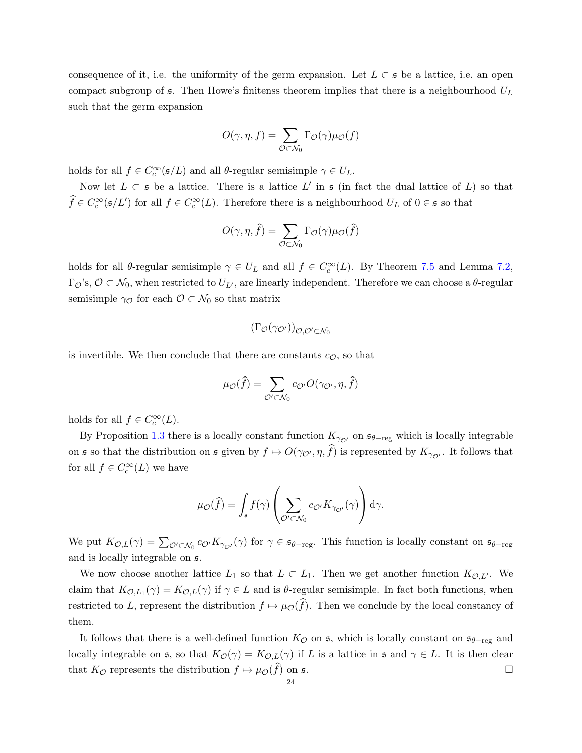consequence of it, i.e. the uniformity of the germ expansion. Let  $L \subset \mathfrak{s}$  be a lattice, i.e. an open compact subgroup of  $\epsilon$ . Then Howe's finitenss theorem implies that there is a neighbourhood  $U_L$ such that the germ expansion

$$
O(\gamma,\eta,f)=\sum_{\mathcal{O}\subset \mathcal{N}_0}\Gamma_{\mathcal{O}}(\gamma)\mu_{\mathcal{O}}(f)
$$

holds for all  $f \in C_c^{\infty}(\mathfrak{s}/L)$  and all  $\theta$ -regular semisimple  $\gamma \in U_L$ .

Now let  $L \subset \mathfrak{s}$  be a lattice. There is a lattice  $L'$  in  $\mathfrak{s}$  (in fact the dual lattice of  $L$ ) so that  $\widehat{f} \in C_c^{\infty}(\mathfrak{s}/L')$  for all  $f \in C_c^{\infty}(L)$ . Therefore there is a neighbourhood  $U_L$  of  $0 \in \mathfrak{s}$  so that

$$
O(\gamma, \eta, \hat{f}) = \sum_{\mathcal{O} \subset \mathcal{N}_0} \Gamma_{\mathcal{O}}(\gamma) \mu_{\mathcal{O}}(\hat{f})
$$

holds for all  $\theta$ -regular semisimple  $\gamma \in U_L$  and all  $f \in C_c^{\infty}(L)$ . By Theorem [7.5](#page-22-0) and Lemma [7.2,](#page-20-2)  $\Gamma_{\mathcal{O}}$ 's,  $\mathcal{O} \subset \mathcal{N}_0$ , when restricted to  $U_{L'}$ , are linearly independent. Therefore we can choose a  $\theta$ -regular semisimple  $\gamma_{\mathcal{O}}$  for each  $\mathcal{O} \subset \mathcal{N}_0$  so that matrix

$$
(\Gamma_{\mathcal{O}}(\gamma_{\mathcal{O}'}))_{\mathcal{O},\mathcal{O}'\subset\mathcal{N}_0}
$$

is invertible. We then conclude that there are constants  $c_{\mathcal{O}}$ , so that

$$
\mu_{\mathcal{O}}(\widehat{f}) = \sum_{\mathcal{O}' \subset \mathcal{N}_0} c_{\mathcal{O}'} O(\gamma_{\mathcal{O}'}, \eta, \widehat{f})
$$

holds for all  $f \in C_c^{\infty}(L)$ .

By Proposition [1.3](#page-2-3) there is a locally constant function  $K_{\gamma_{\mathcal{O}'}}$  on  $\mathfrak{s}_{\theta-\text{reg}}$  which is locally integrable on s so that the distribution on s given by  $f \mapsto O(\gamma_{\mathcal{O}'}, \eta, f)$  is represented by  $K_{\gamma_{\mathcal{O}'}}$ . It follows that for all  $f \in C_c^{\infty}(L)$  we have

$$
\mu_{\mathcal{O}}(\widehat{f}) = \int_{\mathfrak{s}} f(\gamma) \left( \sum_{\mathcal{O}' \subset \mathcal{N}_0} c_{\mathcal{O}'} K_{\gamma_{\mathcal{O}'}}(\gamma) \right) d\gamma.
$$

We put  $K_{\mathcal{O},L}(\gamma) = \sum_{\mathcal{O}' \subset \mathcal{N}_0} c_{\mathcal{O}'} K_{\gamma_{\mathcal{O}'}}(\gamma)$  for  $\gamma \in \mathfrak{s}_{\theta-\text{reg}}$ . This function is locally constant on  $\mathfrak{s}_{\theta-\text{reg}}$ and is locally integrable on s.

We now choose another lattice  $L_1$  so that  $L \subset L_1$ . Then we get another function  $K_{\mathcal{O},L'}$ . We claim that  $K_{\mathcal{O},L_1}(\gamma) = K_{\mathcal{O},L}(\gamma)$  if  $\gamma \in L$  and is  $\theta$ -regular semisimple. In fact both functions, when restricted to L, represent the distribution  $f \mapsto \mu_{\mathcal{O}}(\widehat{f})$ . Then we conclude by the local constancy of them.

It follows that there is a well-defined function  $K_{\mathcal{O}}$  on  $\mathfrak{s}$ , which is locally constant on  $\mathfrak{s}_{\theta-\mathrm{reg}}$  and locally integrable on s, so that  $K_{\mathcal{O}}(\gamma) = K_{\mathcal{O},L}(\gamma)$  if L is a lattice in s and  $\gamma \in L$ . It is then clear that  $K_{\mathcal{O}}$  represents the distribution  $f \mapsto \mu_{\mathcal{O}}(\widehat{f})$  on  $\mathfrak{s}$ .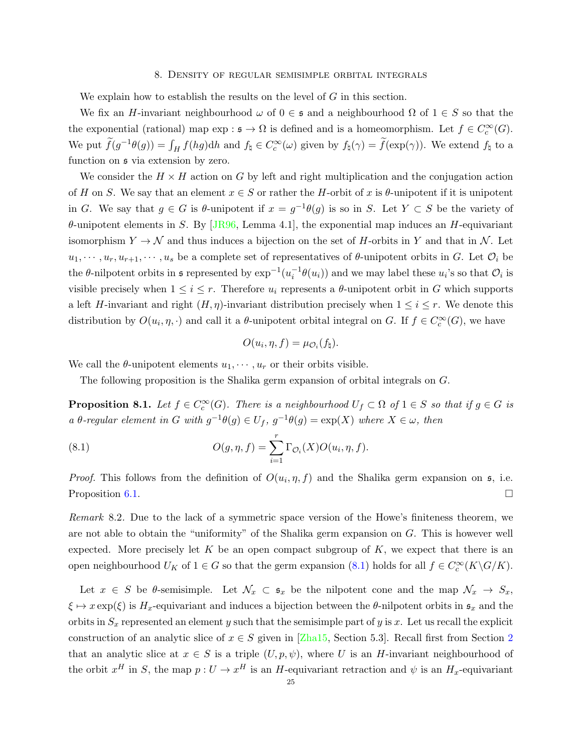#### 8. Density of regular semisimple orbital integrals

<span id="page-24-3"></span><span id="page-24-0"></span>We explain how to establish the results on the level of  $G$  in this section.

We fix an H-invariant neighbourhood  $\omega$  of  $0 \in \mathfrak{s}$  and a neighbourhood  $\Omega$  of  $1 \in S$  so that the the exponential (rational) map  $\exp : \mathfrak{s} \to \Omega$  is defined and is a homeomorphism. Let  $f \in C_c^{\infty}(G)$ . We put  $\widetilde{f}(g^{-1}\theta(g)) = \int_H f(hg) dh$  and  $f_\natural \in C_c^{\infty}(\omega)$  given by  $f_\natural(\gamma) = \widetilde{f}(\exp(\gamma))$ . We extend  $f_\natural$  to a function on  $\mathfrak s$  via extension by zero.

We consider the  $H \times H$  action on G by left and right multiplication and the conjugation action of H on S. We say that an element  $x \in S$  or rather the H-orbit of x is  $\theta$ -unipotent if it is unipotent in G. We say that  $g \in G$  is  $\theta$ -unipotent if  $x = g^{-1}\theta(g)$  is so in S. Let  $Y \subset S$  be the variety of  $\theta$ -unipotent elements in S. By [\[JR96,](#page-30-0) Lemma 4.1], the exponential map induces an H-equivariant isomorphism  $Y \to \mathcal{N}$  and thus induces a bijection on the set of H-orbits in Y and that in  $\mathcal{N}$ . Let  $u_1, \dots, u_r, u_{r+1}, \dots, u_s$  be a complete set of representatives of  $\theta$ -unipotent orbits in G. Let  $\mathcal{O}_i$  be the  $\theta$ -nilpotent orbits in st represented by  $\exp^{-1}(u_i^{-1}\theta(u_i))$  and we may label these  $u_i$ 's so that  $\mathcal{O}_i$  is visible precisely when  $1 \leq i \leq r$ . Therefore  $u_i$  represents a  $\theta$ -unipotent orbit in G which supports a left H-invariant and right  $(H, \eta)$ -invariant distribution precisely when  $1 \leq i \leq r$ . We denote this distribution by  $O(u_i, \eta, \cdot)$  and call it a  $\theta$ -unipotent orbital integral on G. If  $f \in C_c^{\infty}(G)$ , we have

<span id="page-24-1"></span>
$$
O(u_i, \eta, f) = \mu_{\mathcal{O}_i}(f_{\natural}).
$$

We call the  $\theta$ -unipotent elements  $u_1, \dots, u_r$  or their orbits visible.

The following proposition is the Shalika germ expansion of orbital integrals on G.

**Proposition 8.1.** Let  $f \in C_c^{\infty}(G)$ . There is a neighbourhood  $U_f \subset \Omega$  of  $1 \in S$  so that if  $g \in G$  is a  $\theta$ -regular element in G with  $g^{-1}\theta(g) \in U_f$ ,  $g^{-1}\theta(g) = \exp(X)$  where  $X \in \omega$ , then

(8.1) 
$$
O(g, \eta, f) = \sum_{i=1}^r \Gamma_{\mathcal{O}_i}(X) O(u_i, \eta, f).
$$

*Proof.* This follows from the definition of  $O(u_i, \eta, f)$  and the Shalika germ expansion on  $\mathfrak{s}$ , i.e. Proposition [6.1.](#page-17-1)

<span id="page-24-2"></span>Remark 8.2. Due to the lack of a symmetric space version of the Howe's finiteness theorem, we are not able to obtain the "uniformity" of the Shalika germ expansion on  $G$ . This is however well expected. More precisely let K be an open compact subgroup of K, we expect that there is an open neighbourhood  $U_K$  of  $1 \in G$  so that the germ expansion [\(8.1\)](#page-24-1) holds for all  $f \in C_c^{\infty}(K \backslash G/K)$ .

Let  $x \in S$  be  $\theta$ -semisimple. Let  $\mathcal{N}_x \subset \mathfrak{s}_x$  be the nilpotent cone and the map  $\mathcal{N}_x \to S_x$ ,  $\xi \mapsto x \exp(\xi)$  is  $H_x$ -equivariant and induces a bijection between the  $\theta$ -nilpotent orbits in  $\mathfrak{s}_x$  and the orbits in  $S_x$  represented an element y such that the semisimple part of y is x. Let us recall the explicit construction of an analytic slice of  $x \in S$  given in [\[Zha15,](#page-30-2) Section 5.3]. Recall first from Section [2](#page-4-0) that an analytic slice at  $x \in S$  is a triple  $(U, p, \psi)$ , where U is an H-invariant neighbourhood of the orbit  $x^H$  in S, the map  $p: U \to x^H$  is an H-equivariant retraction and  $\psi$  is an H<sub>x</sub>-equivariant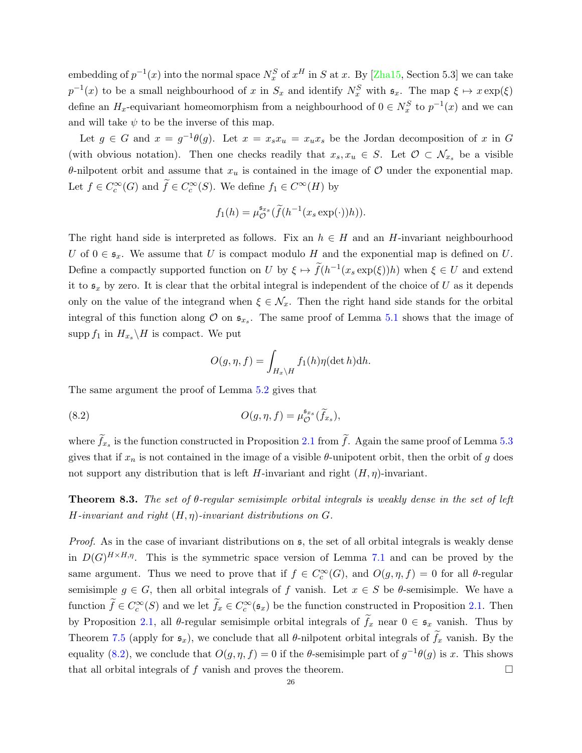<span id="page-25-1"></span>embedding of  $p^{-1}(x)$  into the normal space  $N_x^S$  of  $x^H$  in S at x. By [\[Zha15,](#page-30-2) Section 5.3] we can take  $p^{-1}(x)$  to be a small neighbourhood of x in  $S_x$  and identify  $N_x^S$  with  $\mathfrak{s}_x$ . The map  $\xi \mapsto x \exp(\xi)$ define an  $H_x$ -equivariant homeomorphism from a neighbourhood of  $0 \in N_x^S$  to  $p^{-1}(x)$  and we can and will take  $\psi$  to be the inverse of this map.

Let  $g \in G$  and  $x = g^{-1}\theta(g)$ . Let  $x = x_s x_u = x_u x_s$  be the Jordan decomposition of x in G (with obvious notation). Then one checks readily that  $x_s, x_u \in S$ . Let  $\mathcal{O} \subset \mathcal{N}_{x_s}$  be a visible θ-nilpotent orbit and assume that  $x<sub>u</sub>$  is contained in the image of  $O$  under the exponential map. Let  $f \in C_c^{\infty}(G)$  and  $\widetilde{f} \in C_c^{\infty}(S)$ . We define  $f_1 \in C^{\infty}(H)$  by

$$
f_1(h) = \mu_{\mathcal{O}}^{\mathfrak{s}_{x_s}}(\widetilde{f}(h^{-1}(x_s \exp(\cdot))h)).
$$

The right hand side is interpreted as follows. Fix an  $h \in H$  and an H-invariant neighbourhood U of  $0 \in \mathfrak{s}_x$ . We assume that U is compact modulo H and the exponential map is defined on U. Define a compactly supported function on U by  $\xi \mapsto \tilde{f}(h^{-1}(x_s \exp(\xi))h)$  when  $\xi \in U$  and extend it to  $\mathfrak{s}_x$  by zero. It is clear that the orbital integral is independent of the choice of U as it depends only on the value of the integrand when  $\xi \in \mathcal{N}_x$ . Then the right hand side stands for the orbital integral of this function along  $\mathcal O$  on  $\mathfrak{s}_{x_s}$ . The same proof of Lemma [5.1](#page-16-1) shows that the image of supp  $f_1$  in  $H_{x_s} \backslash H$  is compact. We put

<span id="page-25-0"></span>
$$
O(g, \eta, f) = \int_{H_x \backslash H} f_1(h) \eta(\det h) \mathrm{d}h.
$$

The same argument the proof of Lemma [5.2](#page-17-3) gives that

(8.2) 
$$
O(g,\eta,f) = \mu_{\mathcal{O}}^{\mathfrak{s}_{x_s}}(\widetilde{f}_{x_s}),
$$

where  $f_{x_s}$  is the function constructed in Proposition [2.1](#page-6-0) from f. Again the same proof of Lemma [5.3](#page-17-4) gives that if  $x_n$  is not contained in the image of a visible  $\theta$ -unipotent orbit, then the orbit of g does not support any distribution that is left H-invariant and right  $(H, \eta)$ -invariant.

Theorem 8.3. The set of θ-regular semisimple orbital integrals is weakly dense in the set of left H-invariant and right  $(H, \eta)$ -invariant distributions on  $G$ .

*Proof.* As in the case of invariant distributions on  $\mathfrak{s}$ , the set of all orbital integrals is weakly dense in  $D(G)^{H \times H,\eta}$ . This is the symmetric space version of Lemma [7.1](#page-19-1) and can be proved by the same argument. Thus we need to prove that if  $f \in C_c^{\infty}(G)$ , and  $O(g, \eta, f) = 0$  for all  $\theta$ -regular semisimple  $g \in G$ , then all orbital integrals of f vanish. Let  $x \in S$  be  $\theta$ -semisimple. We have a function  $\widetilde{f} \in C_c^{\infty}(S)$  and we let  $\widetilde{f}_x \in C_c^{\infty}(\mathfrak{s}_x)$  be the function constructed in Proposition [2.1.](#page-6-0) Then by Proposition [2.1,](#page-6-0) all  $\theta$ -regular semisimple orbital integrals of  $\tilde{f}_x$  near  $0 \in \mathfrak{s}_x$  vanish. Thus by Theorem [7.5](#page-22-0) (apply for  $\mathfrak{s}_x$ ), we conclude that all  $\theta$ -nilpotent orbital integrals of  $\tilde{f}_x$  vanish. By the equality [\(8.2\)](#page-25-0), we conclude that  $O(g, \eta, f) = 0$  if the  $\theta$ -semisimple part of  $g^{-1}\theta(g)$  is x. This shows that all orbital integrals of f vanish and proves the theorem.  $\Box$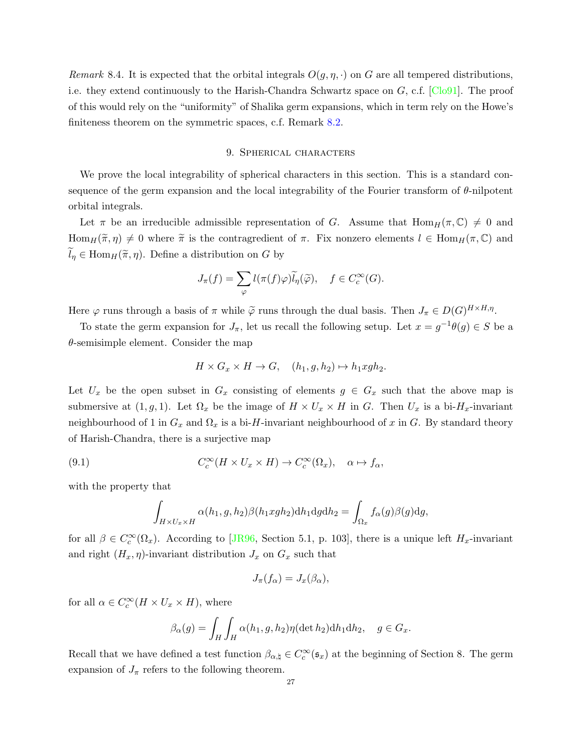<span id="page-26-1"></span>Remark 8.4. It is expected that the orbital integrals  $O(q, \eta, \cdot)$  on G are all tempered distributions, i.e. they extend continuously to the Harish-Chandra Schwartz space on G, c.f. [\[Clo91\]](#page-29-5). The proof of this would rely on the "uniformity" of Shalika germ expansions, which in term rely on the Howe's finiteness theorem on the symmetric spaces, c.f. Remark [8.2.](#page-24-2)

## 9. Spherical characters

<span id="page-26-0"></span>We prove the local integrability of spherical characters in this section. This is a standard consequence of the germ expansion and the local integrability of the Fourier transform of  $\theta$ -nilpotent orbital integrals.

Let  $\pi$  be an irreducible admissible representation of G. Assume that  $\text{Hom}_H(\pi, \mathbb{C}) \neq 0$  and  $\text{Hom}_H(\tilde{\pi}, \eta) \neq 0$  where  $\tilde{\pi}$  is the contragredient of  $\pi$ . Fix nonzero elements  $l \in \text{Hom}_H(\pi, \mathbb{C})$  and  $\widetilde{l}_{\eta} \in \text{Hom}_{H}(\widetilde{\pi}, \eta)$ . Define a distribution on G by

$$
J_{\pi}(f) = \sum_{\varphi} l(\pi(f)\varphi)\widetilde{l}_{\eta}(\widetilde{\varphi}), \quad f \in C_c^{\infty}(G).
$$

Here  $\varphi$  runs through a basis of  $\pi$  while  $\widetilde{\varphi}$  runs through the dual basis. Then  $J_{\pi} \in D(G)^{H \times H,\eta}$ .

To state the germ expansion for  $J_{\pi}$ , let us recall the following setup. Let  $x = g^{-1}\theta(g) \in S$  be a  $\theta$ -semisimple element. Consider the map

$$
H \times G_x \times H \to G, \quad (h_1, g, h_2) \mapsto h_1 xgh_2.
$$

Let  $U_x$  be the open subset in  $G_x$  consisting of elements  $g \in G_x$  such that the above map is submersive at  $(1, g, 1)$ . Let  $\Omega_x$  be the image of  $H \times U_x \times H$  in G. Then  $U_x$  is a bi- $H_x$ -invariant neighbourhood of 1 in  $G_x$  and  $\Omega_x$  is a bi-H-invariant neighbourhood of x in G. By standard theory of Harish-Chandra, there is a surjective map

(9.1) 
$$
C_c^{\infty}(H \times U_x \times H) \to C_c^{\infty}(\Omega_x), \quad \alpha \mapsto f_{\alpha},
$$

with the property that

$$
\int_{H \times U_x \times H} \alpha(h_1, g, h_2) \beta(h_1 xgh_2) dh_1 dg dh_2 = \int_{\Omega_x} f_{\alpha}(g) \beta(g) dg,
$$

for all  $\beta \in C_c^{\infty}(\Omega_x)$ . According to [\[JR96,](#page-30-0) Section 5.1, p. 103], there is a unique left  $H_x$ -invariant and right  $(H_x, \eta)$ -invariant distribution  $J_x$  on  $G_x$  such that

$$
J_{\pi}(f_{\alpha}) = J_{x}(\beta_{\alpha}),
$$

for all  $\alpha \in C_c^{\infty}(H \times U_x \times H)$ , where

$$
\beta_{\alpha}(g) = \int_H \int_H \alpha(h_1, g, h_2) \eta(\det h_2) dh_1 dh_2, \quad g \in G_x.
$$

Recall that we have defined a test function  $\beta_{\alpha,\natural} \in C_c^{\infty}(\mathfrak{s}_x)$  at the beginning of Section 8. The germ expansion of  $J_{\pi}$  refers to the following theorem.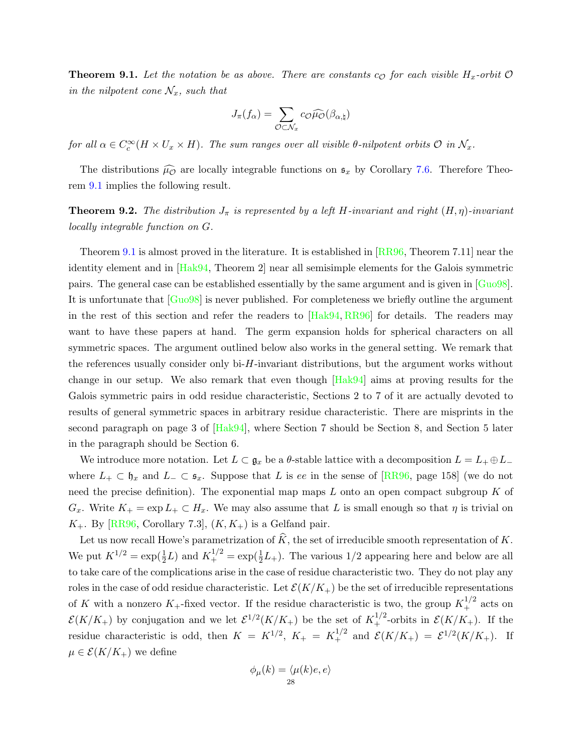<span id="page-27-1"></span><span id="page-27-0"></span>**Theorem 9.1.** Let the notation be as above. There are constants  $c_{\mathcal{O}}$  for each visible  $H_x$ -orbit  $\mathcal{O}$ in the nilpotent cone  $\mathcal{N}_x$ , such that

$$
J_{\pi}(f_{\alpha}) = \sum_{\mathcal{O} \subset \mathcal{N}_x} c_{\mathcal{O}} \widehat{\mu_{\mathcal{O}}}(\beta_{\alpha, \natural})
$$

for all  $\alpha \in C_c^{\infty}(H \times U_x \times H)$ . The sum ranges over all visible  $\theta$ -nilpotent orbits  $\mathcal O$  in  $\mathcal N_x$ .

The distributions  $\widehat{\mu_{\mathcal{O}}}$  are locally integrable functions on  $\mathfrak{s}_x$  by Corollary [7.6.](#page-22-1) Therefore Theorem [9.1](#page-27-0) implies the following result.

**Theorem 9.2.** The distribution  $J_{\pi}$  is represented by a left H-invariant and right  $(H, \eta)$ -invariant locally integrable function on G.

Theorem [9.1](#page-27-0) is almost proved in the literature. It is established in [\[RR96,](#page-30-1) Theorem 7.11] near the identity element and in [\[Hak94,](#page-30-4) Theorem 2] near all semisimple elements for the Galois symmetric pairs. The general case can be established essentially by the same argument and is given in [\[Guo98\]](#page-30-3). It is unfortunate that  $\lceil \text{Guo98} \rceil$  is never published. For completeness we briefly outline the argument in the rest of this section and refer the readers to [\[Hak94,](#page-30-4) [RR96\]](#page-30-1) for details. The readers may want to have these papers at hand. The germ expansion holds for spherical characters on all symmetric spaces. The argument outlined below also works in the general setting. We remark that the references usually consider only bi- $H$ -invariant distributions, but the argument works without change in our setup. We also remark that even though [\[Hak94\]](#page-30-4) aims at proving results for the Galois symmetric pairs in odd residue characteristic, Sections 2 to 7 of it are actually devoted to results of general symmetric spaces in arbitrary residue characteristic. There are misprints in the second paragraph on page 3 of [\[Hak94\]](#page-30-4), where Section 7 should be Section 8, and Section 5 later in the paragraph should be Section 6.

We introduce more notation. Let  $L \subset \mathfrak{g}_x$  be a  $\theta$ -stable lattice with a decomposition  $L = L_+ \oplus L_$ where  $L_+ \subset \mathfrak{h}_x$  and  $L_- \subset \mathfrak{s}_x$ . Suppose that L is ee in the sense of [\[RR96,](#page-30-1) page 158] (we do not need the precise definition). The exponential map maps  $L$  onto an open compact subgroup  $K$  of  $G_x$ . Write  $K_+ = \exp L_+ \subset H_x$ . We may also assume that L is small enough so that  $\eta$  is trivial on  $K_{+}$ . By [\[RR96,](#page-30-1) Corollary 7.3],  $(K, K_{+})$  is a Gelfand pair.

Let us now recall Howe's parametrization of  $\widehat{K}$ , the set of irreducible smooth representation of K. We put  $K^{1/2} = \exp(\frac{1}{2}L)$  and  $K^{1/2}_+ = \exp(\frac{1}{2}L_+)$ . The various 1/2 appearing here and below are all to take care of the complications arise in the case of residue characteristic two. They do not play any roles in the case of odd residue characteristic. Let  $\mathcal{E}(K/K_+)$  be the set of irreducible representations of K with a nonzero  $K_{+}$ -fixed vector. If the residue characteristic is two, the group  $K_{+}^{1/2}$  acts on  $\mathcal{E}(K/K_+)$  by conjugation and we let  $\mathcal{E}^{1/2}(K/K_+)$  be the set of  $K_+^{1/2}$ -orbits in  $\mathcal{E}(K/K_+)$ . If the residue characteristic is odd, then  $K = K^{1/2}$ ,  $K_+ = K_+^{1/2}$  and  $\mathcal{E}(K/K_+) = \mathcal{E}^{1/2}(K/K_+)$ . If  $\mu \in \mathcal{E}(K/K_+)$  we define

$$
\phi_{\mu}(k) = \langle \mu(k)e, e \rangle
$$
  
28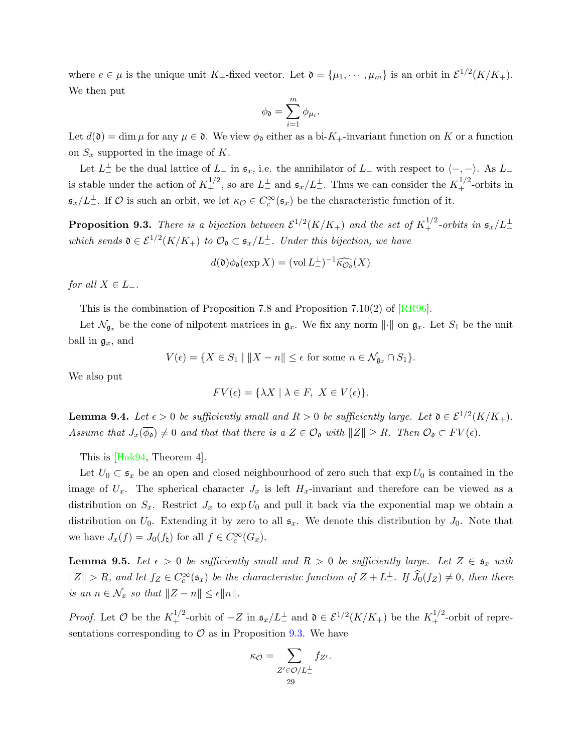<span id="page-28-3"></span>where  $e \in \mu$  is the unique unit K<sub>+</sub>-fixed vector. Let  $\mathfrak{d} = {\mu_1, \cdots, \mu_m}$  is an orbit in  $\mathcal{E}^{1/2}(K/K_+)$ . We then put

$$
\phi_{\mathfrak{d}} = \sum_{i=1}^m \phi_{\mu_i}.
$$

Let  $d(\mathfrak{d}) = \dim \mu$  for any  $\mu \in \mathfrak{d}$ . We view  $\phi_{\mathfrak{d}}$  either as a bi- $K_{+}$ -invariant function on K or a function on  $S_x$  supported in the image of K.

Let  $L^{\perp}$  be the dual lattice of  $L_{-}$  in  $\mathfrak{s}_x$ , i.e. the annihilator of  $L_{-}$  with respect to  $\langle -, - \rangle$ . As  $L_{-}$ is stable under the action of  $K_+^{1/2}$ , so are  $L_-^{\perp}$  and  $\mathfrak{s}_x/L_-^{\perp}$ . Thus we can consider the  $K_+^{1/2}$ -orbits in  $\mathfrak{s}_x/L^{\perp}$ . If  $\mathcal O$  is such an orbit, we let  $\kappa_{\mathcal O} \in C_c^{\infty}(\mathfrak{s}_x)$  be the characteristic function of it.

<span id="page-28-0"></span>**Proposition 9.3.** There is a bijection between  $\mathcal{E}^{1/2}(K/K_+)$  and the set of  $K_+^{1/2}$ -orbits in  $\mathfrak{s}_x/L_{-}^{\perp}$ which sends  $\mathfrak{d} \in \mathcal{E}^{1/2}(K/K_+)$  to  $\mathcal{O}_{\mathfrak{d}} \subset \mathfrak{s}_x/L^{\perp}$ . Under this bijection, we have

$$
d(\mathfrak{d})\phi_{\mathfrak{d}}(\exp X) = (\text{vol } L_{-}^{\perp})^{-1} \widehat{\kappa_{\mathcal{O}_{\mathfrak{d}}}}(X)
$$

for all  $X \in L_-\$ .

This is the combination of Proposition 7.8 and Proposition 7.10(2) of [\[RR96\]](#page-30-1).

Let  $\mathcal{N}_{g_x}$  be the cone of nilpotent matrices in  $g_x$ . We fix any norm  $\|\cdot\|$  on  $g_x$ . Let  $S_1$  be the unit ball in  $\mathfrak{g}_x$ , and

$$
V(\epsilon) = \{ X \in S_1 \mid ||X - n|| \le \epsilon \text{ for some } n \in \mathcal{N}_{\mathfrak{g}_x} \cap S_1 \}.
$$

We also put

$$
FV(\epsilon) = \{ \lambda X \mid \lambda \in F, \ X \in V(\epsilon) \}.
$$

<span id="page-28-1"></span>**Lemma 9.4.** Let  $\epsilon > 0$  be sufficiently small and  $R > 0$  be sufficiently large. Let  $\mathfrak{d} \in \mathcal{E}^{1/2}(K/K_+)$ . Assume that  $J_x(\overline{\phi_0})\neq 0$  and that that there is a  $Z \in \mathcal{O}_0$  with  $||Z|| \geq R$ . Then  $\mathcal{O}_0 \subset FV(\epsilon)$ .

This is [\[Hak94,](#page-30-4) Theorem 4].

Let  $U_0 \subset \mathfrak{s}_x$  be an open and closed neighbourhood of zero such that  $\exp U_0$  is contained in the image of  $U_x$ . The spherical character  $J_x$  is left  $H_x$ -invariant and therefore can be viewed as a distribution on  $S_x$ . Restrict  $J_x$  to exp $U_0$  and pull it back via the exponential map we obtain a distribution on  $U_0$ . Extending it by zero to all  $\mathfrak{s}_x$ . We denote this distribution by  $J_0$ . Note that we have  $J_x(f) = J_0(f_\natural)$  for all  $f \in C_c^{\infty}(G_x)$ .

<span id="page-28-2"></span>**Lemma 9.5.** Let  $\epsilon > 0$  be sufficiently small and  $R > 0$  be sufficiently large. Let  $Z \in \mathfrak{s}_x$  with  $||Z|| > R$ , and let  $f_Z \in C_c^{\infty}(\mathfrak{s}_x)$  be the characteristic function of  $Z + L_{-}^{\perp}$ . If  $\widehat{J}_0(f_Z) \neq 0$ , then there is an  $n \in \mathcal{N}_x$  so that  $||Z - n|| \leq \epsilon ||n||$ .

*Proof.* Let  $\mathcal{O}$  be the  $K_{+}^{1/2}$ -orbit of  $-Z$  in  $\mathfrak{s}_x/L_{-}^{\perp}$  and  $\mathfrak{d} \in \mathcal{E}^{1/2}(K/K_{+})$  be the  $K_{+}^{1/2}$ -orbit of representations corresponding to  $\mathcal O$  as in Proposition [9.3.](#page-28-0) We have

$$
\kappa_{\mathcal{O}} = \sum_{\substack{Z' \in \mathcal{O}/L^{\perp}_- \\ 29}} f_{Z'}.
$$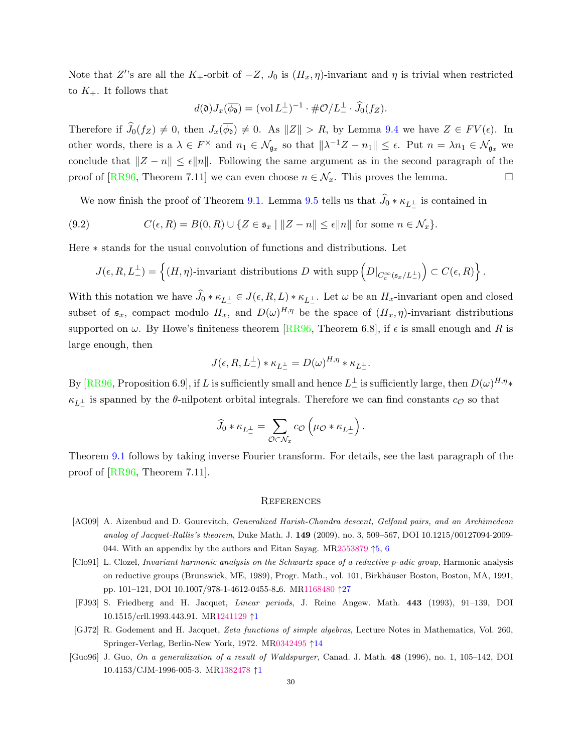<span id="page-29-6"></span>Note that Z''s are all the K<sub>+</sub>-orbit of  $-Z$ ,  $J_0$  is  $(H_x, \eta)$ -invariant and  $\eta$  is trivial when restricted to  $K_{+}$ . It follows that

$$
d(\mathfrak{d})J_x(\overline{\phi_0}) = (\text{vol}\,L_{-}^{\perp})^{-1} \cdot \#\mathcal{O}/L_{-}^{\perp} \cdot \widehat{J}_0(f_Z).
$$

Therefore if  $\widehat{J}_0(f_Z) \neq 0$ , then  $J_x(\overline{\phi_0}) \neq 0$ . As  $||Z|| > R$ , by Lemma [9.4](#page-28-1) we have  $Z \in FV(\epsilon)$ . In other words, there is a  $\lambda \in F^\times$  and  $n_1 \in \mathcal{N}_{\mathfrak{g}_x}$  so that  $\|\lambda^{-1}Z - n_1\| \leq \epsilon$ . Put  $n = \lambda n_1 \in \mathcal{N}_{\mathfrak{g}_x}$  we conclude that  $||Z - n|| \leq \epsilon ||n||$ . Following the same argument as in the second paragraph of the proof of [\[RR96,](#page-30-1) Theorem 7.11] we can even choose  $n \in \mathcal{N}_x$ . This proves the lemma.

We now finish the proof of Theorem [9.1.](#page-27-0) Lemma [9.5](#page-28-2) tells us that  $J_0 * \kappa_{L_{\perp}^{\perp}}$  is contained in

(9.2) 
$$
C(\epsilon, R) = B(0, R) \cup \{Z \in \mathfrak{s}_x \mid ||Z - n|| \leq \epsilon ||n|| \text{ for some } n \in \mathcal{N}_x\}.
$$

Here ∗ stands for the usual convolution of functions and distributions. Let

$$
J(\epsilon, R, L_{-}^{\perp}) = \left\{ (H, \eta) \text{-invariant distributions } D \text{ with } \text{supp}\left(D|_{C_c^{\infty}(\mathfrak{s}_x/L_{-}^{\perp})}\right) \subset C(\epsilon, R) \right\}.
$$

With this notation we have  $J_0 * \kappa_{L_+^{\perp}} \in J(\epsilon, R, L) * \kappa_{L_+^{\perp}}$ . Let  $\omega$  be an  $H_x$ -invariant open and closed subset of  $\mathfrak{s}_x$ , compact modulo  $H_x$ , and  $D(\omega)^{H,\eta}$  be the space of  $(H_x,\eta)$ -invariant distributions supported on  $\omega$ . By Howe's finiteness theorem [\[RR96,](#page-30-1) Theorem 6.8], if  $\epsilon$  is small enough and R is large enough, then

$$
J(\epsilon,R,L_-^{\perp}) \ast \kappa_{L_-^{\perp}} = D(\omega)^{H,\eta} \ast \kappa_{L_-^{\perp}}.
$$

By [\[RR96,](#page-30-1) Proposition 6.9], if  $L$  is sufficiently small and hence  $L^{\perp}_-$  is sufficiently large, then  $D(\omega)^{H,\eta_*}$  $\kappa_{L_{-}^{\perp}}$  is spanned by the  $\theta$ -nilpotent orbital integrals. Therefore we can find constants  $c_{\mathcal{O}}$  so that

$$
\widehat{J}_0 * \kappa_{L_{-}^{\perp}} = \sum_{\mathcal{O} \subset \mathcal{N}_x} c_{\mathcal{O}} \left( \mu_{\mathcal{O}} * \kappa_{L_{-}^{\perp}} \right).
$$

Theorem [9.1](#page-27-0) follows by taking inverse Fourier transform. For details, see the last paragraph of the proof of [\[RR96,](#page-30-1) Theorem 7.11].

#### <span id="page-29-0"></span>**REFERENCES**

- <span id="page-29-3"></span>[AG09] A. Aizenbud and D. Gourevitch, Generalized Harish-Chandra descent, Gelfand pairs, and an Archimedean analog of Jacquet-Rallis's theorem, Duke Math. J. 149 (2009), no. 3, 509–567, DOI 10.1215/00127094-2009- 044. With an appendix by the authors and Eitan Sayag. M[R2553879](http://www.ams.org/mathscinet-getitem?mr=2553879)  $\uparrow$ [5,](#page-4-1) [6](#page-5-0)
- <span id="page-29-5"></span>[Clo91] L. Clozel, Invariant harmonic analysis on the Schwartz space of a reductive p-adic group, Harmonic analysis on reductive groups (Brunswick, ME, 1989), Progr. Math., vol. 101, Birkhäuser Boston, Boston, MA, 1991, pp. 101–121, DOI 10.1007/978-1-4612-0455-8 6. M[R1168480](http://www.ams.org/mathscinet-getitem?mr=1168480) ↑[27](#page-26-1)
- <span id="page-29-2"></span>[FJ93] S. Friedberg and H. Jacquet, Linear periods, J. Reine Angew. Math. 443 (1993), 91–139, DOI 10.1515/crll.1993.443.91. M[R1241129](http://www.ams.org/mathscinet-getitem?mr=1241129) ↑[1](#page-0-1)
- <span id="page-29-4"></span>[GJ72] R. Godement and H. Jacquet, Zeta functions of simple algebras, Lecture Notes in Mathematics, Vol. 260, Springer-Verlag, Berlin-New York, 1972. M[R0342495](http://www.ams.org/mathscinet-getitem?mr=0342495) ↑[14](#page-13-4)
- <span id="page-29-1"></span>[Guo96] J. Guo, On a generalization of a result of Waldspurger, Canad. J. Math. 48 (1996), no. 1, 105–142, DOI 10.4153/CJM-1996-005-3. M[R1382478](http://www.ams.org/mathscinet-getitem?mr=1382478) ↑[1](#page-0-1)